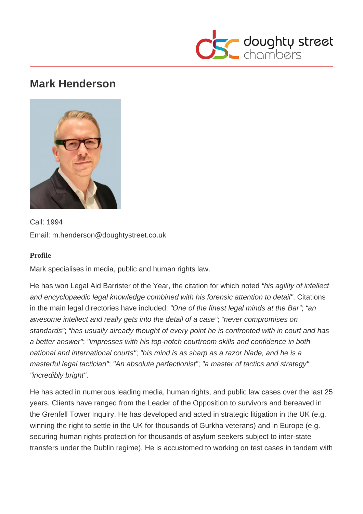

# **Mark Henderson**



Call: 1994 Email: m.henderson@doughtystreet.co.uk

#### **Profile**

Mark specialises in media, public and human rights law.

He has won Legal Aid Barrister of the Year, the citation for which noted "his agility of intellect and encyclopaedic legal knowledge combined with his forensic attention to detail". Citations in the main legal directories have included: "One of the finest legal minds at the Bar"; "an awesome intellect and really gets into the detail of a case"; "never compromises on standards"; "has usually already thought of every point he is confronted with in court and has a better answer"; "impresses with his top-notch courtroom skills and confidence in both national and international courts"; "his mind is as sharp as a razor blade, and he is a masterful legal tactician"; "An absolute perfectionist"; "a master of tactics and strategy"; "incredibly bright".

He has acted in numerous leading media, human rights, and public law cases over the last 25 years. Clients have ranged from the Leader of the Opposition to survivors and bereaved in the Grenfell Tower Inquiry. He has developed and acted in strategic litigation in the UK (e.g. winning the right to settle in the UK for thousands of Gurkha veterans) and in Europe (e.g. securing human rights protection for thousands of asylum seekers subject to inter-state transfers under the Dublin regime). He is accustomed to working on test cases in tandem with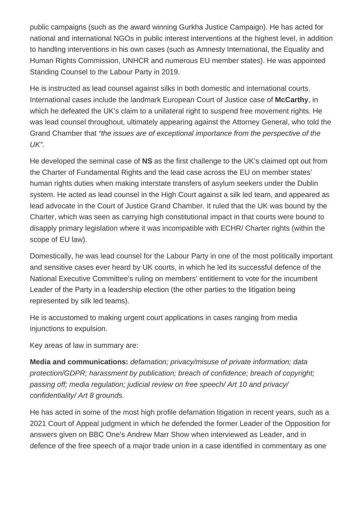public campaigns (such as the award winning Gurkha Justice Campaign). He has acted for national and international NGOs in public interest interventions at the highest level, in addition to handling interventions in his own cases (such as Amnesty International, the Equality and Human Rights Commission, UNHCR and numerous EU member states). He was appointed Standing Counsel to the Labour Party in 2019.

He is instructed as lead counsel against silks in both domestic and international courts. International cases include the landmark European Court of Justice case of **McCarthy**, in which he defeated the UK's claim to a unilateral right to suspend free movement rights. He was lead counsel throughout, ultimately appearing against the Attorney General, who told the Grand Chamber that "the issues are of exceptional importance from the perspective of the UK".

He developed the seminal case of **NS** as the first challenge to the UK's claimed opt out from the Charter of Fundamental Rights and the lead case across the EU on member states' human rights duties when making interstate transfers of asylum seekers under the Dublin system. He acted as lead counsel in the High Court against a silk led team, and appeared as lead advocate in the Court of Justice Grand Chamber. It ruled that the UK was bound by the Charter, which was seen as carrying high constitutional impact in that courts were bound to disapply primary legislation where it was incompatible with ECHR/ Charter rights (within the scope of EU law).

Domestically, he was lead counsel for the Labour Party in one of the most politically important and sensitive cases ever heard by UK courts, in which he led its successful defence of the National Executive Committee's ruling on members' entitlement to vote for the incumbent Leader of the Party in a leadership election (the other parties to the litigation being represented by silk led teams).

He is accustomed to making urgent court applications in cases ranging from media injunctions to expulsion.

Key areas of law in summary are:

**Media and communications:** defamation; privacy/misuse of private information; data protection/GDPR; harassment by publication; breach of confidence; breach of copyright; passing off; media regulation; judicial review on free speech/ Art 10 and privacy/ confidentiality/ Art 8 grounds.

He has acted in some of the most high profile defamation litigation in recent years, such as a 2021 Court of Appeal judgment in which he defended the former Leader of the Opposition for answers given on BBC One's Andrew Marr Show when interviewed as Leader, and in defence of the free speech of a major trade union in a case identified in commentary as one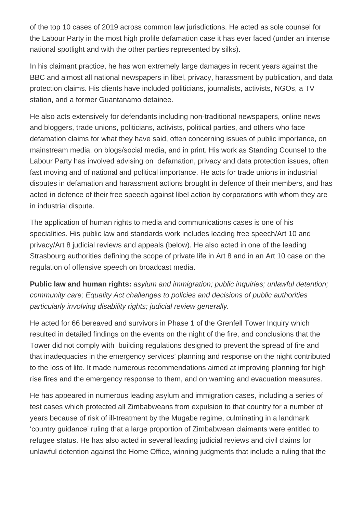of the top 10 cases of 2019 across common law jurisdictions. He acted as sole counsel for the Labour Party in the most high profile defamation case it has ever faced (under an intense national spotlight and with the other parties represented by silks).

In his claimant practice, he has won extremely large damages in recent years against the BBC and almost all national newspapers in libel, privacy, harassment by publication, and data protection claims. His clients have included politicians, journalists, activists, NGOs, a TV station, and a former Guantanamo detainee.

He also acts extensively for defendants including non-traditional newspapers, online news and bloggers, trade unions, politicians, activists, political parties, and others who face defamation claims for what they have said, often concerning issues of public importance, on mainstream media, on blogs/social media, and in print. His work as Standing Counsel to the Labour Party has involved advising on defamation, privacy and data protection issues, often fast moving and of national and political importance. He acts for trade unions in industrial disputes in defamation and harassment actions brought in defence of their members, and has acted in defence of their free speech against libel action by corporations with whom they are in industrial dispute.

The application of human rights to media and communications cases is one of his specialities. His public law and standards work includes leading free speech/Art 10 and privacy/Art 8 judicial reviews and appeals (below). He also acted in one of the leading Strasbourg authorities defining the scope of private life in Art 8 and in an Art 10 case on the regulation of offensive speech on broadcast media.

**Public law and human rights:** asylum and immigration; public inquiries; unlawful detention; community care; Equality Act challenges to policies and decisions of public authorities particularly involving disability rights; judicial review generally.

He acted for 66 bereaved and survivors in Phase 1 of the Grenfell Tower Inquiry which resulted in detailed findings on the events on the night of the fire, and conclusions that the Tower did not comply with building regulations designed to prevent the spread of fire and that inadequacies in the emergency services' planning and response on the night contributed to the loss of life. It made numerous recommendations aimed at improving planning for high rise fires and the emergency response to them, and on warning and evacuation measures.

He has appeared in numerous leading asylum and immigration cases, including a series of test cases which protected all Zimbabweans from expulsion to that country for a number of years because of risk of ill-treatment by the Mugabe regime, culminating in a landmark 'country guidance' ruling that a large proportion of Zimbabwean claimants were entitled to refugee status. He has also acted in several leading judicial reviews and civil claims for unlawful detention against the Home Office, winning judgments that include a ruling that the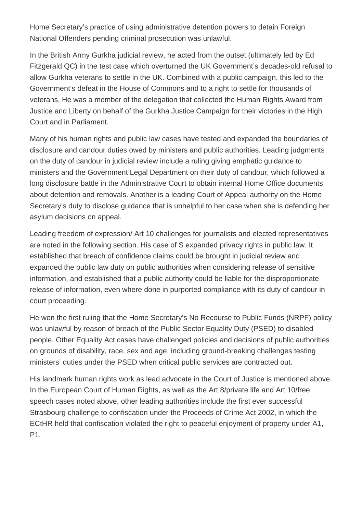Home Secretary's practice of using administrative detention powers to detain Foreign National Offenders pending criminal prosecution was unlawful.

In the British Army Gurkha judicial review, he acted from the outset (ultimately led by Ed Fitzgerald QC) in the test case which overturned the UK Government's decades-old refusal to allow Gurkha veterans to settle in the UK. Combined with a public campaign, this led to the Government's defeat in the House of Commons and to a right to settle for thousands of veterans. He was a member of the delegation that collected the Human Rights Award from Justice and Liberty on behalf of the Gurkha Justice Campaign for their victories in the High Court and in Parliament.

Many of his human rights and public law cases have tested and expanded the boundaries of disclosure and candour duties owed by ministers and public authorities. Leading judgments on the duty of candour in judicial review include a ruling giving emphatic guidance to ministers and the Government Legal Department on their duty of candour, which followed a long disclosure battle in the Administrative Court to obtain internal Home Office documents about detention and removals. Another is a leading Court of Appeal authority on the Home Secretary's duty to disclose guidance that is unhelpful to her case when she is defending her asylum decisions on appeal.

Leading freedom of expression/ Art 10 challenges for journalists and elected representatives are noted in the following section. His case of S expanded privacy rights in public law. It established that breach of confidence claims could be brought in judicial review and expanded the public law duty on public authorities when considering release of sensitive information, and established that a public authority could be liable for the disproportionate release of information, even where done in purported compliance with its duty of candour in court proceeding.

He won the first ruling that the Home Secretary's No Recourse to Public Funds (NRPF) policy was unlawful by reason of breach of the Public Sector Equality Duty (PSED) to disabled people. Other Equality Act cases have challenged policies and decisions of public authorities on grounds of disability, race, sex and age, including ground-breaking challenges testing ministers' duties under the PSED when critical public services are contracted out.

His landmark human rights work as lead advocate in the Court of Justice is mentioned above. In the European Court of Human Rights, as well as the Art 8/private life and Art 10/free speech cases noted above, other leading authorities include the first ever successful Strasbourg challenge to confiscation under the Proceeds of Crime Act 2002, in which the ECtHR held that confiscation violated the right to peaceful enjoyment of property under A1, P1.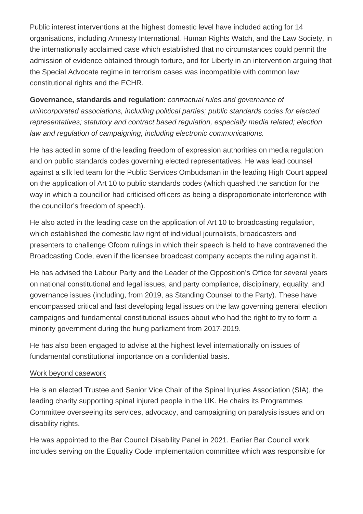Public interest interventions at the highest domestic level have included acting for 14 organisations, including Amnesty International, Human Rights Watch, and the Law Society, in the internationally acclaimed case which established that no circumstances could permit the admission of evidence obtained through torture, and for Liberty in an intervention arguing that the Special Advocate regime in terrorism cases was incompatible with common law constitutional rights and the ECHR.

**Governance, standards and regulation**: contractual rules and governance of unincorporated associations, including political parties; public standards codes for elected representatives; statutory and contract based regulation, especially media related; election law and regulation of campaigning, including electronic communications.

He has acted in some of the leading freedom of expression authorities on media regulation and on public standards codes governing elected representatives. He was lead counsel against a silk led team for the Public Services Ombudsman in the leading High Court appeal on the application of Art 10 to public standards codes (which quashed the sanction for the way in which a councillor had criticised officers as being a disproportionate interference with the councillor's freedom of speech).

He also acted in the leading case on the application of Art 10 to broadcasting regulation, which established the domestic law right of individual journalists, broadcasters and presenters to challenge Ofcom rulings in which their speech is held to have contravened the Broadcasting Code, even if the licensee broadcast company accepts the ruling against it.

He has advised the Labour Party and the Leader of the Opposition's Office for several years on national constitutional and legal issues, and party compliance, disciplinary, equality, and governance issues (including, from 2019, as Standing Counsel to the Party). These have encompassed critical and fast developing legal issues on the law governing general election campaigns and fundamental constitutional issues about who had the right to try to form a minority government during the hung parliament from 2017-2019.

He has also been engaged to advise at the highest level internationally on issues of fundamental constitutional importance on a confidential basis.

### Work beyond casework

He is an elected Trustee and Senior Vice Chair of the Spinal Injuries Association (SIA), the leading charity supporting spinal injured people in the UK. He chairs its Programmes Committee overseeing its services, advocacy, and campaigning on paralysis issues and on disability rights.

He was appointed to the Bar Council Disability Panel in 2021. Earlier Bar Council work includes serving on the Equality Code implementation committee which was responsible for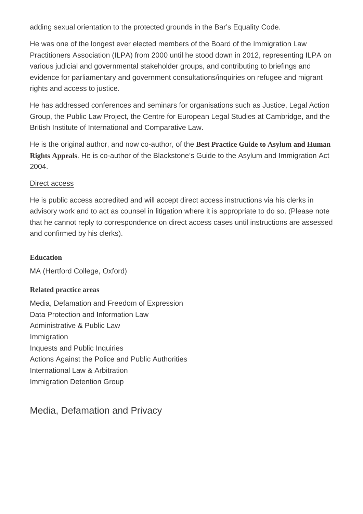adding sexual orientation to the protected grounds in the Bar's Equality Code.

He was one of the longest ever elected members of the Board of the Immigration Law Practitioners Association (ILPA) from 2000 until he stood down in 2012, representing ILPA on various judicial and governmental stakeholder groups, and contributing to briefings and evidence for parliamentary and government consultations/inquiries on refugee and migrant rights and access to justice.

He has addressed conferences and seminars for organisations such as Justice, Legal Action Group, the Public Law Project, the Centre for European Legal Studies at Cambridge, and the British Institute of International and Comparative Law.

He is the original author, and now co-author, of the [Best Practice Guide to Asylum and Human](https://www.ein.org.uk/bpg/contents) [Rights Appeals.](https://www.ein.org.uk/bpg/contents) He is co-author of the Blackstone's Guide to the Asylum and Immigration Act 2004.

#### Direct access

He is public access accredited and will accept direct access instructions via his clerks in advisory work and to act as counsel in litigation where it is appropriate to do so. (Please note that he cannot reply to correspondence on direct access cases until instructions are assessed and confirmed by his clerks).

**Education** MA (Hertford College, Oxford) Related practice areas Media, Defamation and Freedom of Expression Data Protection and Information Law Administrative & Public Law Immigration Inquests and Public Inquiries Actions Against the Police and Public Authorities International Law & Arbitration Immigration Detention Group

Media, Defamation and Privacy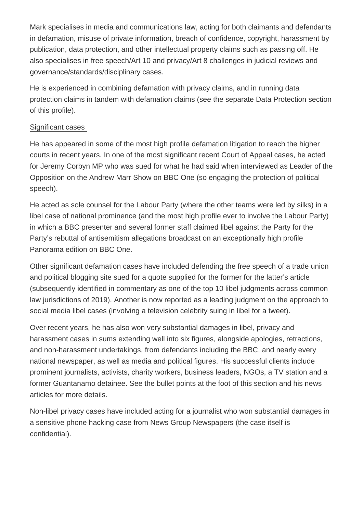Mark specialises in media and communications law, acting for both claimants and defendants in defamation, misuse of private information, breach of confidence, copyright, harassment by publication, data protection, and other intellectual property claims such as passing off. He also specialises in free speech/Art 10 and privacy/Art 8 challenges in judicial reviews and governance/standards/disciplinary cases.

He is experienced in combining defamation with privacy claims, and in running data protection claims in tandem with defamation claims (see the separate Data Protection section of this profile).

#### Significant cases

He has appeared in some of the most high profile defamation litigation to reach the higher courts in recent years. In one of the most significant recent Court of Appeal cases, he acted for Jeremy Corbyn MP who was sued for what he had said when interviewed as Leader of the Opposition on the Andrew Marr Show on BBC One (so engaging the protection of political speech).

He acted as sole counsel for the Labour Party (where the other teams were led by silks) in a libel case of national prominence (and the most high profile ever to involve the Labour Party) in which a BBC presenter and several former staff claimed libel against the Party for the Party's rebuttal of antisemitism allegations broadcast on an exceptionally high profile Panorama edition on BBC One.

Other significant defamation cases have included defending the free speech of a trade union and political blogging site sued for a quote supplied for the former for the latter's article (subsequently identified in commentary as one of the top 10 libel judgments across common law jurisdictions of 2019). Another is now reported as a leading judgment on the approach to social media libel cases (involving a television celebrity suing in libel for a tweet).

Over recent years, he has also won very substantial damages in libel, privacy and harassment cases in sums extending well into six figures, alongside apologies, retractions, and non-harassment undertakings, from defendants including the BBC, and nearly every national newspaper, as well as media and political figures. His successful clients include prominent journalists, activists, charity workers, business leaders, NGOs, a TV station and a former Guantanamo detainee. See the bullet points at the foot of this section and his news articles for more details.

Non-libel privacy cases have included acting for a journalist who won substantial damages in a sensitive phone hacking case from News Group Newspapers (the case itself is confidential).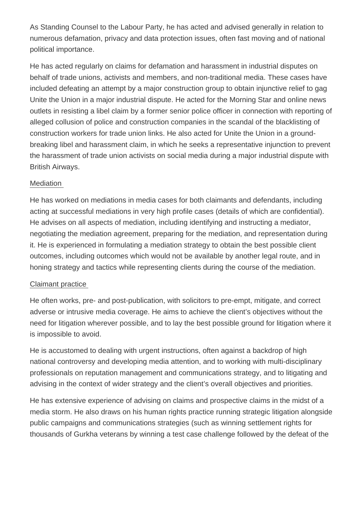As Standing Counsel to the Labour Party, he has acted and advised generally in relation to numerous defamation, privacy and data protection issues, often fast moving and of national political importance.

He has acted regularly on claims for defamation and harassment in industrial disputes on behalf of trade unions, activists and members, and non-traditional media. These cases have included defeating an attempt by a major construction group to obtain injunctive relief to gag Unite the Union in a major industrial dispute. He acted for the Morning Star and online news outlets in resisting a libel claim by a former senior police officer in connection with reporting of alleged collusion of police and construction companies in the scandal of the blacklisting of construction workers for trade union links. He also acted for Unite the Union in a groundbreaking libel and harassment claim, in which he seeks a representative injunction to prevent the harassment of trade union activists on social media during a major industrial dispute with British Airways.

#### Mediation

He has worked on mediations in media cases for both claimants and defendants, including acting at successful mediations in very high profile cases (details of which are confidential). He advises on all aspects of mediation, including identifying and instructing a mediator, negotiating the mediation agreement, preparing for the mediation, and representation during it. He is experienced in formulating a mediation strategy to obtain the best possible client outcomes, including outcomes which would not be available by another legal route, and in honing strategy and tactics while representing clients during the course of the mediation.

### Claimant practice

He often works, pre- and post-publication, with solicitors to pre-empt, mitigate, and correct adverse or intrusive media coverage. He aims to achieve the client's objectives without the need for litigation wherever possible, and to lay the best possible ground for litigation where it is impossible to avoid.

He is accustomed to dealing with urgent instructions, often against a backdrop of high national controversy and developing media attention, and to working with multi-disciplinary professionals on reputation management and communications strategy, and to litigating and advising in the context of wider strategy and the client's overall objectives and priorities.

He has extensive experience of advising on claims and prospective claims in the midst of a media storm. He also draws on his human rights practice running strategic litigation alongside public campaigns and communications strategies (such as winning settlement rights for thousands of Gurkha veterans by winning a test case challenge followed by the defeat of the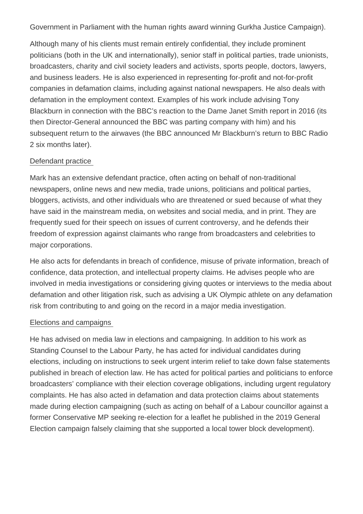Government in Parliament with the human rights award winning Gurkha Justice Campaign).

Although many of his clients must remain entirely confidential, they include prominent politicians (both in the UK and internationally), senior staff in political parties, trade unionists, broadcasters, charity and civil society leaders and activists, sports people, doctors, lawyers, and business leaders. He is also experienced in representing for-profit and not-for-profit companies in defamation claims, including against national newspapers. He also deals with defamation in the employment context. Examples of his work include advising Tony Blackburn in connection with the BBC's reaction to the Dame Janet Smith report in 2016 (its then Director-General announced the BBC was parting company with him) and his subsequent return to the airwaves (the BBC announced Mr Blackburn's return to BBC Radio 2 six months later).

#### Defendant practice

Mark has an extensive defendant practice, often acting on behalf of non-traditional newspapers, online news and new media, trade unions, politicians and political parties, bloggers, activists, and other individuals who are threatened or sued because of what they have said in the mainstream media, on websites and social media, and in print. They are frequently sued for their speech on issues of current controversy, and he defends their freedom of expression against claimants who range from broadcasters and celebrities to major corporations.

He also acts for defendants in breach of confidence, misuse of private information, breach of confidence, data protection, and intellectual property claims. He advises people who are involved in media investigations or considering giving quotes or interviews to the media about defamation and other litigation risk, such as advising a UK Olympic athlete on any defamation risk from contributing to and going on the record in a major media investigation.

### Elections and campaigns

He has advised on media law in elections and campaigning. In addition to his work as Standing Counsel to the Labour Party, he has acted for individual candidates during elections, including on instructions to seek urgent interim relief to take down false statements published in breach of election law. He has acted for political parties and politicians to enforce broadcasters' compliance with their election coverage obligations, including urgent regulatory complaints. He has also acted in defamation and data protection claims about statements made during election campaigning (such as acting on behalf of a Labour councillor against a former Conservative MP seeking re-election for a leaflet he published in the 2019 General Election campaign falsely claiming that she supported a local tower block development).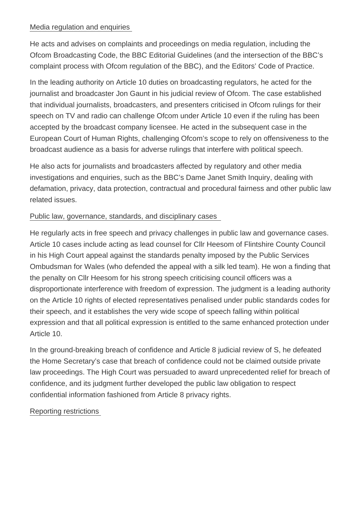#### Media regulation and enquiries

He acts and advises on complaints and proceedings on media regulation, including the Ofcom Broadcasting Code, the BBC Editorial Guidelines (and the intersection of the BBC's complaint process with Ofcom regulation of the BBC), and the Editors' Code of Practice.

In the leading authority on Article 10 duties on broadcasting regulators, he acted for the journalist and broadcaster Jon Gaunt in his judicial review of Ofcom. The case established that individual journalists, broadcasters, and presenters criticised in Ofcom rulings for their speech on TV and radio can challenge Ofcom under Article 10 even if the ruling has been accepted by the broadcast company licensee. He acted in the subsequent case in the European Court of Human Rights, challenging Ofcom's scope to rely on offensiveness to the broadcast audience as a basis for adverse rulings that interfere with political speech.

He also acts for journalists and broadcasters affected by regulatory and other media investigations and enquiries, such as the BBC's Dame Janet Smith Inquiry, dealing with defamation, privacy, data protection, contractual and procedural fairness and other public law related issues.

### Public law, governance, standards, and disciplinary cases

He regularly acts in free speech and privacy challenges in public law and governance cases. Article 10 cases include acting as lead counsel for Cllr Heesom of Flintshire County Council in his High Court appeal against the standards penalty imposed by the Public Services Ombudsman for Wales (who defended the appeal with a silk led team). He won a finding that the penalty on Cllr Heesom for his strong speech criticising council officers was a disproportionate interference with freedom of expression. The judgment is a leading authority on the Article 10 rights of elected representatives penalised under public standards codes for their speech, and it establishes the very wide scope of speech falling within political expression and that all political expression is entitled to the same enhanced protection under Article 10.

In the ground-breaking breach of confidence and Article 8 judicial review of S, he defeated the Home Secretary's case that breach of confidence could not be claimed outside private law proceedings. The High Court was persuaded to award unprecedented relief for breach of confidence, and its judgment further developed the public law obligation to respect confidential information fashioned from Article 8 privacy rights.

### Reporting restrictions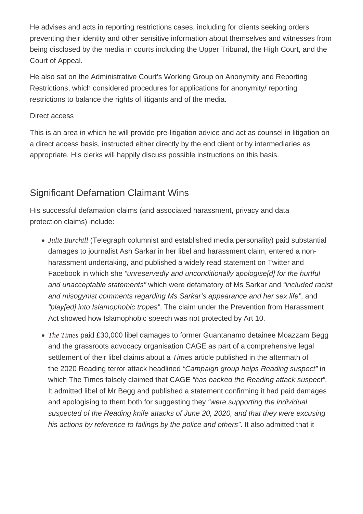He advises and acts in reporting restrictions cases, including for clients seeking orders preventing their identity and other sensitive information about themselves and witnesses from being disclosed by the media in courts including the Upper Tribunal, the High Court, and the Court of Appeal.

He also sat on the Administrative Court's Working Group on Anonymity and Reporting Restrictions, which considered procedures for applications for anonymity/ reporting restrictions to balance the rights of litigants and of the media.

#### Direct access

This is an area in which he will provide pre-litigation advice and act as counsel in litigation on a direct access basis, instructed either directly by the end client or by intermediaries as appropriate. His clerks will happily discuss possible instructions on this basis.

## Significant Defamation Claimant Wins

His successful defamation claims (and associated harassment, privacy and data protection claims) include:

- [Julie Burchill](https://www.doughtystreet.co.uk/news/julie-burchill-pay-substantial-damages-public-apology-ash-sarkar-defamation-harassment-case) (Telegraph columnist and established media personality) paid substantial damages to journalist Ash Sarkar in her libel and harassment claim, entered a nonharassment undertaking, and published a widely read statement on Twitter and Facebook in which she "unreservedly and unconditionally apologise[d] for the hurtful and unacceptable statements" which were defamatory of Ms Sarkar and "included racist and misogynist comments regarding Ms Sarkar's appearance and her sex life", and "play[ed] into Islamophobic tropes". The claim under the Prevention from Harassment Act showed how Islamophobic speech was not protected by Art 10.
- [The Time](https://www.doughtystreet.co.uk/news/times-pays-ps30000-libel-damages-former-guantanamo-detainee-and-cage-and-issues-apology)paid £30,000 libel damages to former Guantanamo detainee Moazzam Begg and the grassroots advocacy organisation CAGE as part of a comprehensive legal settlement of their libel claims about a Times article published in the aftermath of the 2020 Reading terror attack headlined "Campaign group helps Reading suspect" in which The Times falsely claimed that CAGE "has backed the Reading attack suspect". It admitted libel of Mr Begg and published a statement confirming it had paid damages and apologising to them both for suggesting they "were supporting the individual suspected of the Reading knife attacks of June 20, 2020, and that they were excusing his actions by reference to failings by the police and others". It also admitted that it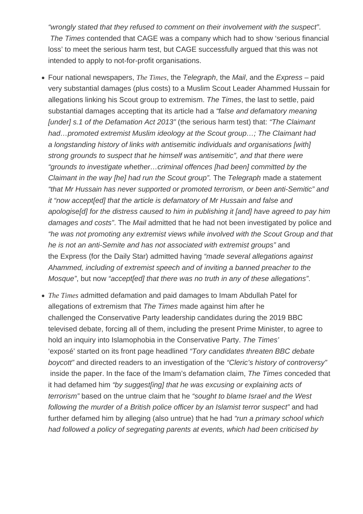"wrongly stated that they refused to comment on their involvement with the suspect". The Times contended that CAGE was a company which had to show 'serious financial loss' to meet the serious harm test, but CAGE successfully argued that this was not intended to apply to not-for-profit organisations.

- Four national newspapers, [The Time](https://www.doughtystreet.co.uk/news/times-telegraph-mail-and-express-pay-libel-damages-and-publish-apologies-muslim-scout-leader)sthe Telegraph, the Mail, and the Express paid very substantial damages (plus costs) to a Muslim Scout Leader Ahammed Hussain for allegations linking his Scout group to extremism. The Times, the last to settle, paid substantial damages accepting that its article had a "false and defamatory meaning [under] s.1 of the Defamation Act 2013" (the serious harm test) that: "The Claimant had…promoted extremist Muslim ideology at the Scout group…; The Claimant had a longstanding history of links with antisemitic individuals and organisations [with] strong grounds to suspect that he himself was antisemitic", and that there were "grounds to investigate whether…criminal offences [had been] committed by the Claimant in the way [he] had run the Scout group". The Telegraph made a statement "that Mr Hussain has never supported or promoted terrorism, or been anti-Semitic" and it "now accept[ed] that the article is defamatory of Mr Hussain and false and apologise[d] for the distress caused to him in publishing it [and] have agreed to pay him damages and costs". The Mail admitted that he had not been investigated by police and "he was not promoting any extremist views while involved with the Scout Group and that he is not an anti-Semite and has not associated with extremist groups" and the Express (for the Daily Star) admitted having "made several allegations against Ahammed, including of extremist speech and of inviting a banned preacher to the Mosque", but now "accept[ed] that there was no truth in any of these allegations".
- [The Time](https://www.doughtystreet.co.uk/news/times-admits-libel-imam-who-intervened-bbc-televised-tory-leadership-debate-and-publishes)sadmitted defamation and paid damages to Imam Abdullah Patel for allegations of extremism that The Times made against him after he challenged the Conservative Party leadership candidates during the 2019 BBC televised debate, forcing all of them, including the present Prime Minister, to agree to hold an inquiry into Islamophobia in the Conservative Party. The Times' 'exposé' started on its front page headlined "Tory candidates threaten BBC debate boycott" and directed readers to an investigation of the "Cleric's history of controversy" inside the paper. In the face of the Imam's defamation claim, The Times conceded that it had defamed him "by suggest[ing] that he was excusing or explaining acts of terrorism" based on the untrue claim that he "sought to blame Israel and the West following the murder of a British police officer by an Islamist terror suspect" and had further defamed him by alleging (also untrue) that he had "run a primary school which had followed a policy of segregating parents at events, which had been criticised by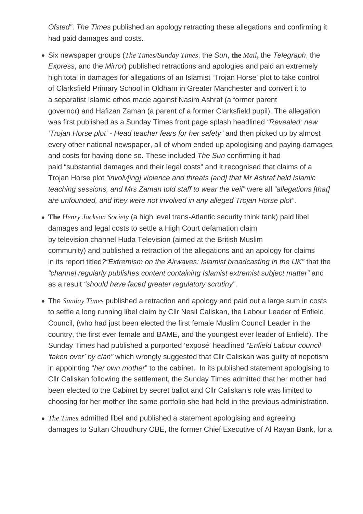Ofsted". The Times published an apology retracting these allegations and confirming it had paid damages and costs.

- Six newspaper groups [\(The Times/Sunday Tim](https://www.doughtystreet.co.uk/news/times-prints-apology-times-newspapers-agree-final-settlement-trojan-horse-libel-litigation)es bun, [the Mail,](https://www.doughtystreet.co.uk/news/associatedmailonline-pay-libel-damages-and-apologise-trojan-horse-plot-defamation-case) the Telegraph, the Express, and the Mirror) published retractions and apologies and paid an extremely high total in damages for allegations of an Islamist 'Trojan Horse' plot to take control of Clarksfield Primary School in Oldham in Greater Manchester and convert it to a separatist Islamic ethos made against Nasim Ashraf (a former parent governor) and Hafizan Zaman (a parent of a former Clarksfield pupil). The allegation was first published as a Sunday Times front page splash headlined "Revealed: new 'Trojan Horse plot' - Head teacher fears for her safety" and then picked up by almost every other national newspaper, all of whom ended up apologising and paying damages and costs for having done so. These included The Sun confirming it had paid "substantial damages and their legal costs" and it recognised that claims of a Trojan Horse plot "involv[ing] violence and threats [and] that Mr Ashraf held Islamic teaching sessions, and Mrs Zaman told staff to wear the veil" were all "allegations [that] are unfounded, and they were not involved in any alleged Trojan Horse plot".
- [The Henry Jackson Socie](https://www.doughtystreet.co.uk/news/henry-jackson-society-pays-libel-damages-and-apologises-uk-muslim-tv-station-huda)t a high level trans-Atlantic security think tank) paid libel damages and legal costs to settle a High Court defamation claim by television channel Huda Television (aimed at the British Muslim community) and published a retraction of the allegations and an apology for claims in its report titled?"Extremism on the Airwaves: Islamist broadcasting in the UK" that the "channel regularly publishes content containing Islamist extremist subject matter" and as a result "should have faced greater regulatory scrutiny".
- The [Sunday Time](https://www.doughtystreet.co.uk/news/sunday-times-apologises-labour-council-leader-and-settles-defamation-claim) published a retraction and apology and paid out a large sum in costs to settle a long running libel claim by Cllr Nesil Caliskan, the Labour Leader of Enfield Council, (who had just been elected the first female Muslim Council Leader in the country, the first ever female and BAME, and the youngest ever leader of Enfield). The Sunday Times had published a purported 'exposé' headlined "Enfield Labour council 'taken over' by clan" which wrongly suggested that Cllr Caliskan was guilty of nepotism in appointing "her own mother" to the cabinet. In its published statement apologising to Cllr Caliskan following the settlement, the Sunday Times admitted that her mother had been elected to the Cabinet by secret ballot and Cllr Caliskan's role was limited to choosing for her mother the same portfolio she had held in the previous administration.
- [The Time](https://www.doughtystreet.co.uk/news/times-pay-libel-damages-preview-article-outside-its-paywall)sadmitted libel and published a statement apologising and agreeing damages to Sultan Choudhury OBE, the former Chief Executive of Al Rayan Bank, for a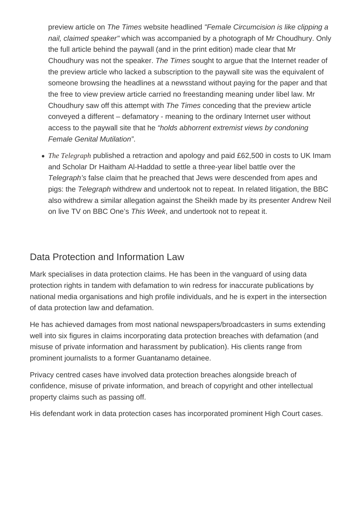preview article on The Times website headlined "Female Circumcision is like clipping a nail, claimed speaker" which was accompanied by a photograph of Mr Choudhury. Only the full article behind the paywall (and in the print edition) made clear that Mr Choudhury was not the speaker. The Times sought to argue that the Internet reader of the preview article who lacked a subscription to the paywall site was the equivalent of someone browsing the headlines at a newsstand without paying for the paper and that the free to view preview article carried no freestanding meaning under libel law. Mr Choudhury saw off this attempt with The Times conceding that the preview article conveyed a different – defamatory - meaning to the ordinary Internet user without access to the paywall site that he "holds abhorrent extremist views by condoning Female Genital Mutilation".

• [The Telegrap](https://www.doughtystreet.co.uk/news/telegraph-apologises-and-pays-out-dr-al-haddad-apes-and-pigs-libel-claim)h published a retraction and apology and paid £62,500 in costs to UK Imam and Scholar Dr Haitham Al-Haddad to settle a three-year libel battle over the Telegraph's false claim that he preached that Jews were descended from apes and pigs: the Telegraph withdrew and undertook not to repeat. In related litigation, the BBC also withdrew a similar allegation against the Sheikh made by its presenter Andrew Neil on live TV on BBC One's This Week, and undertook not to repeat it.

## Data Protection and Information Law

Mark specialises in data protection claims. He has been in the vanguard of using data protection rights in tandem with defamation to win redress for inaccurate publications by national media organisations and high profile individuals, and he is expert in the intersection of data protection law and defamation.

He has achieved damages from most national newspapers/broadcasters in sums extending well into six figures in claims incorporating data protection breaches with defamation (and misuse of private information and harassment by publication). His clients range from prominent journalists to a former Guantanamo detainee.

Privacy centred cases have involved data protection breaches alongside breach of confidence, misuse of private information, and breach of copyright and other intellectual property claims such as passing off.

His defendant work in data protection cases has incorporated prominent High Court cases.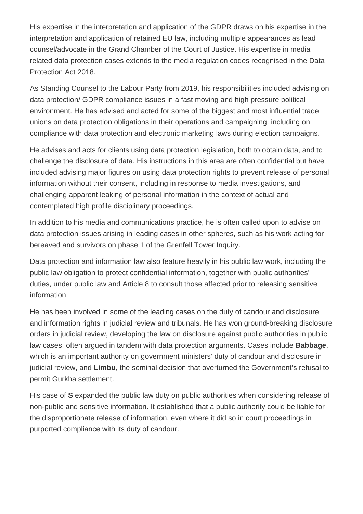His expertise in the interpretation and application of the GDPR draws on his expertise in the interpretation and application of retained EU law, including multiple appearances as lead counsel/advocate in the Grand Chamber of the Court of Justice. His expertise in media related data protection cases extends to the media regulation codes recognised in the Data Protection Act 2018.

As Standing Counsel to the Labour Party from 2019, his responsibilities included advising on data protection/ GDPR compliance issues in a fast moving and high pressure political environment. He has advised and acted for some of the biggest and most influential trade unions on data protection obligations in their operations and campaigning, including on compliance with data protection and electronic marketing laws during election campaigns.

He advises and acts for clients using data protection legislation, both to obtain data, and to challenge the disclosure of data. His instructions in this area are often confidential but have included advising major figures on using data protection rights to prevent release of personal information without their consent, including in response to media investigations, and challenging apparent leaking of personal information in the context of actual and contemplated high profile disciplinary proceedings.

In addition to his media and communications practice, he is often called upon to advise on data protection issues arising in leading cases in other spheres, such as his work acting for bereaved and survivors on phase 1 of the Grenfell Tower Inquiry.

Data protection and information law also feature heavily in his public law work, including the public law obligation to protect confidential information, together with public authorities' duties, under public law and Article 8 to consult those affected prior to releasing sensitive information.

He has been involved in some of the leading cases on the duty of candour and disclosure and information rights in judicial review and tribunals. He has won ground-breaking disclosure orders in judicial review, developing the law on disclosure against public authorities in public law cases, often argued in tandem with data protection arguments. Cases include **Babbage**, which is an important authority on government ministers' duty of candour and disclosure in judicial review, and **Limbu**, the seminal decision that overturned the Government's refusal to permit Gurkha settlement.

His case of **S** expanded the public law duty on public authorities when considering release of non-public and sensitive information. It established that a public authority could be liable for the disproportionate release of information, even where it did so in court proceedings in purported compliance with its duty of candour.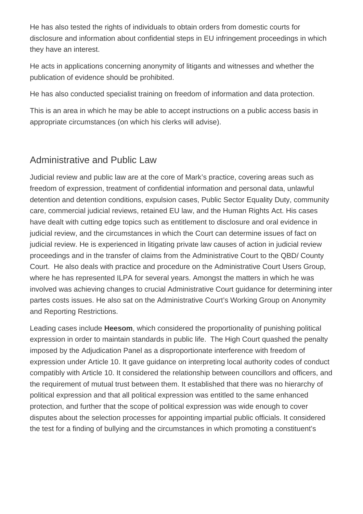He has also tested the rights of individuals to obtain orders from domestic courts for disclosure and information about confidential steps in EU infringement proceedings in which they have an interest.

He acts in applications concerning anonymity of litigants and witnesses and whether the publication of evidence should be prohibited.

He has also conducted specialist training on freedom of information and data protection.

This is an area in which he may be able to accept instructions on a public access basis in appropriate circumstances (on which his clerks will advise).

# Administrative and Public Law

Judicial review and public law are at the core of Mark's practice, covering areas such as freedom of expression, treatment of confidential information and personal data, unlawful detention and detention conditions, expulsion cases, Public Sector Equality Duty, community care, commercial judicial reviews, retained EU law, and the Human Rights Act. His cases have dealt with cutting edge topics such as entitlement to disclosure and oral evidence in judicial review, and the circumstances in which the Court can determine issues of fact on judicial review. He is experienced in litigating private law causes of action in judicial review proceedings and in the transfer of claims from the Administrative Court to the QBD/ County Court. He also deals with practice and procedure on the Administrative Court Users Group, where he has represented ILPA for several years. Amongst the matters in which he was involved was achieving changes to crucial Administrative Court guidance for determining inter partes costs issues. He also sat on the Administrative Court's Working Group on Anonymity and Reporting Restrictions.

Leading cases include **Heesom**, which considered the proportionality of punishing political expression in order to maintain standards in public life. The High Court quashed the penalty imposed by the Adjudication Panel as a disproportionate interference with freedom of expression under Article 10. It gave guidance on interpreting local authority codes of conduct compatibly with Article 10. It considered the relationship between councillors and officers, and the requirement of mutual trust between them. It established that there was no hierarchy of political expression and that all political expression was entitled to the same enhanced protection, and further that the scope of political expression was wide enough to cover disputes about the selection processes for appointing impartial public officials. It considered the test for a finding of bullying and the circumstances in which promoting a constituent's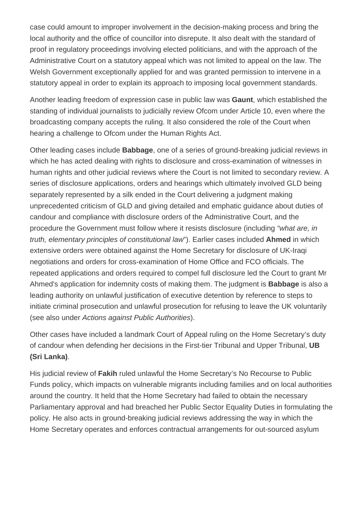case could amount to improper involvement in the decision-making process and bring the local authority and the office of councillor into disrepute. It also dealt with the standard of proof in regulatory proceedings involving elected politicians, and with the approach of the Administrative Court on a statutory appeal which was not limited to appeal on the law. The Welsh Government exceptionally applied for and was granted permission to intervene in a statutory appeal in order to explain its approach to imposing local government standards.

Another leading freedom of expression case in public law was **Gaunt**, which established the standing of individual journalists to judicially review Ofcom under Article 10, even where the broadcasting company accepts the ruling. It also considered the role of the Court when hearing a challenge to Ofcom under the Human Rights Act.

Other leading cases include **Babbage**, one of a series of ground-breaking judicial reviews in which he has acted dealing with rights to disclosure and cross-examination of witnesses in human rights and other judicial reviews where the Court is not limited to secondary review. A series of disclosure applications, orders and hearings which ultimately involved GLD being separately represented by a silk ended in the Court delivering a judgment making unprecedented criticism of GLD and giving detailed and emphatic guidance about duties of candour and compliance with disclosure orders of the Administrative Court, and the procedure the Government must follow where it resists disclosure (including "what are, in truth, elementary principles of constitutional law"). Earlier cases included **Ahmed** in which extensive orders were obtained against the Home Secretary for disclosure of UK-Iraqi negotiations and orders for cross-examination of Home Office and FCO officials. The repeated applications and orders required to compel full disclosure led the Court to grant Mr Ahmed's application for indemnity costs of making them. The judgment is **Babbage** is also a leading authority on unlawful justification of executive detention by reference to steps to initiate criminal prosecution and unlawful prosecution for refusing to leave the UK voluntarily (see also under Actions against Public Authorities).

Other cases have included a landmark Court of Appeal ruling on the Home Secretary's duty of candour when defending her decisions in the First-tier Tribunal and Upper Tribunal, **UB (Sri Lanka)**.

His judicial review of **Fakih** ruled unlawful the Home Secretary's No Recourse to Public Funds policy, which impacts on vulnerable migrants including families and on local authorities around the country. It held that the Home Secretary had failed to obtain the necessary Parliamentary approval and had breached her Public Sector Equality Duties in formulating the policy. He also acts in ground-breaking judicial reviews addressing the way in which the Home Secretary operates and enforces contractual arrangements for out-sourced asylum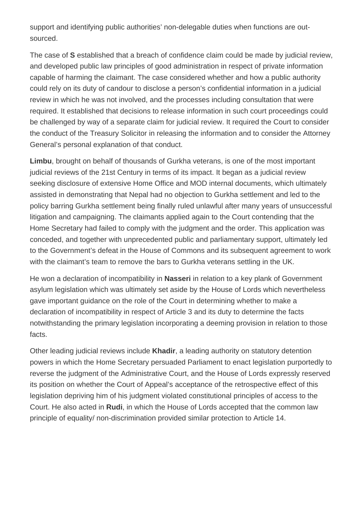support and identifying public authorities' non-delegable duties when functions are outsourced.

The case of **S** established that a breach of confidence claim could be made by judicial review, and developed public law principles of good administration in respect of private information capable of harming the claimant. The case considered whether and how a public authority could rely on its duty of candour to disclose a person's confidential information in a judicial review in which he was not involved, and the processes including consultation that were required. It established that decisions to release information in such court proceedings could be challenged by way of a separate claim for judicial review. It required the Court to consider the conduct of the Treasury Solicitor in releasing the information and to consider the Attorney General's personal explanation of that conduct.

**Limbu**, brought on behalf of thousands of Gurkha veterans, is one of the most important judicial reviews of the 21st Century in terms of its impact. It began as a judicial review seeking disclosure of extensive Home Office and MOD internal documents, which ultimately assisted in demonstrating that Nepal had no objection to Gurkha settlement and led to the policy barring Gurkha settlement being finally ruled unlawful after many years of unsuccessful litigation and campaigning. The claimants applied again to the Court contending that the Home Secretary had failed to comply with the judgment and the order. This application was conceded, and together with unprecedented public and parliamentary support, ultimately led to the Government's defeat in the House of Commons and its subsequent agreement to work with the claimant's team to remove the bars to Gurkha veterans settling in the UK.

He won a declaration of incompatibility in **Nasseri** in relation to a key plank of Government asylum legislation which was ultimately set aside by the House of Lords which nevertheless gave important guidance on the role of the Court in determining whether to make a declaration of incompatibility in respect of Article 3 and its duty to determine the facts notwithstanding the primary legislation incorporating a deeming provision in relation to those facts.

Other leading judicial reviews include **Khadir**, a leading authority on statutory detention powers in which the Home Secretary persuaded Parliament to enact legislation purportedly to reverse the judgment of the Administrative Court, and the House of Lords expressly reserved its position on whether the Court of Appeal's acceptance of the retrospective effect of this legislation depriving him of his judgment violated constitutional principles of access to the Court. He also acted in **Rudi**, in which the House of Lords accepted that the common law principle of equality/ non-discrimination provided similar protection to Article 14.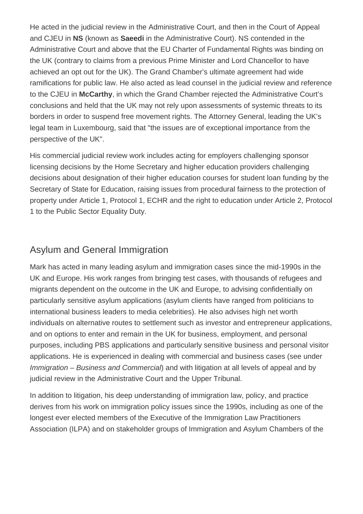He acted in the judicial review in the Administrative Court, and then in the Court of Appeal and CJEU in **NS** (known as **Saeedi** in the Administrative Court). NS contended in the Administrative Court and above that the EU Charter of Fundamental Rights was binding on the UK (contrary to claims from a previous Prime Minister and Lord Chancellor to have achieved an opt out for the UK). The Grand Chamber's ultimate agreement had wide ramifications for public law. He also acted as lead counsel in the judicial review and reference to the CJEU in **McCarthy**, in which the Grand Chamber rejected the Administrative Court's conclusions and held that the UK may not rely upon assessments of systemic threats to its borders in order to suspend free movement rights. The Attorney General, leading the UK's legal team in Luxembourg, said that "the issues are of exceptional importance from the perspective of the UK".

His commercial judicial review work includes acting for employers challenging sponsor licensing decisions by the Home Secretary and higher education providers challenging decisions about designation of their higher education courses for student loan funding by the Secretary of State for Education, raising issues from procedural fairness to the protection of property under Article 1, Protocol 1, ECHR and the right to education under Article 2, Protocol 1 to the Public Sector Equality Duty.

# Asylum and General Immigration

Mark has acted in many leading asylum and immigration cases since the mid-1990s in the UK and Europe. His work ranges from bringing test cases, with thousands of refugees and migrants dependent on the outcome in the UK and Europe, to advising confidentially on particularly sensitive asylum applications (asylum clients have ranged from politicians to international business leaders to media celebrities). He also advises high net worth individuals on alternative routes to settlement such as investor and entrepreneur applications, and on options to enter and remain in the UK for business, employment, and personal purposes, including PBS applications and particularly sensitive business and personal visitor applications. He is experienced in dealing with commercial and business cases (see under Immigration – Business and Commercial) and with litigation at all levels of appeal and by judicial review in the Administrative Court and the Upper Tribunal.

In addition to litigation, his deep understanding of immigration law, policy, and practice derives from his work on immigration policy issues since the 1990s, including as one of the longest ever elected members of the Executive of the Immigration Law Practitioners Association (ILPA) and on stakeholder groups of Immigration and Asylum Chambers of the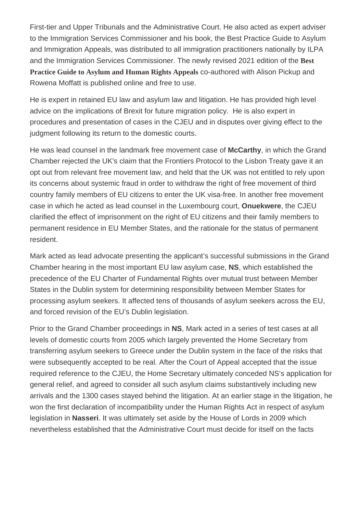First-tier and Upper Tribunals and the Administrative Court. He also acted as expert adviser to the Immigration Services Commissioner and his book, the Best Practice Guide to Asylum and Immigration Appeals, was distributed to all immigration practitioners nationally by ILPA and the Immigration Services Commissioner. The newly revised 2021 edition of the [Best](https://www.ein.org.uk/news/newly-revised-2021-edition-best-practice-guide-asylum-and-human-rights-appeals) [Practice Guide to Asylum and Human Rights Appeal](https://www.ein.org.uk/news/newly-revised-2021-edition-best-practice-guide-asylum-and-human-rights-appeals)so-authored with Alison Pickup and Rowena Moffatt is published online and free to use.

He is expert in retained EU law and asylum law and litigation. He has provided high level advice on the implications of Brexit for future migration policy. He is also expert in procedures and presentation of cases in the CJEU and in disputes over giving effect to the judgment following its return to the domestic courts.

He was lead counsel in the landmark free movement case of McCarthy , in which the Grand Chamber rejected the UK's claim that the Frontiers Protocol to the Lisbon Treaty gave it an opt out from relevant free movement law, and held that the UK was not entitled to rely upon its concerns about systemic fraud in order to withdraw the right of free movement of third country family members of EU citizens to enter the UK visa-free. In another free movement case in which he acted as lead counsel in the Luxembourg court, Onuekwere , the CJEU clarified the effect of imprisonment on the right of EU citizens and their family members to permanent residence in EU Member States, and the rationale for the status of permanent resident.

Mark acted as lead advocate presenting the applicant's successful submissions in the Grand Chamber hearing in the most important EU law asylum case, NS, which established the precedence of the EU Charter of Fundamental Rights over mutual trust between Member States in the Dublin system for determining responsibility between Member States for processing asylum seekers. It affected tens of thousands of asylum seekers across the EU, and forced revision of the EU's Dublin legislation.

Prior to the Grand Chamber proceedings in NS, Mark acted in a series of test cases at all levels of domestic courts from 2005 which largely prevented the Home Secretary from transferring asylum seekers to Greece under the Dublin system in the face of the risks that were subsequently accepted to be real. After the Court of Appeal accepted that the issue required reference to the CJEU, the Home Secretary ultimately conceded NS's application for general relief, and agreed to consider all such asylum claims substantively including new arrivals and the 1300 cases stayed behind the litigation. At an earlier stage in the litigation, he won the first declaration of incompatibility under the Human Rights Act in respect of asylum legislation in Nasseri . It was ultimately set aside by the House of Lords in 2009 which nevertheless established that the Administrative Court must decide for itself on the facts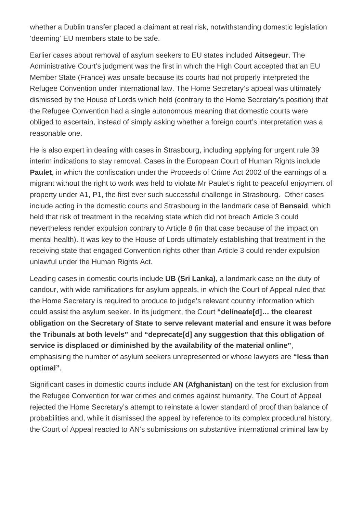whether a Dublin transfer placed a claimant at real risk, notwithstanding domestic legislation 'deeming' EU members state to be safe.

Earlier cases about removal of asylum seekers to EU states included **Aitsegeur**. The Administrative Court's judgment was the first in which the High Court accepted that an EU Member State (France) was unsafe because its courts had not properly interpreted the Refugee Convention under international law. The Home Secretary's appeal was ultimately dismissed by the House of Lords which held (contrary to the Home Secretary's position) that the Refugee Convention had a single autonomous meaning that domestic courts were obliged to ascertain, instead of simply asking whether a foreign court's interpretation was a reasonable one.

He is also expert in dealing with cases in Strasbourg, including applying for urgent rule 39 interim indications to stay removal. Cases in the European Court of Human Rights include **Paulet**, in which the confiscation under the Proceeds of Crime Act 2002 of the earnings of a migrant without the right to work was held to violate Mr Paulet's right to peaceful enjoyment of property under A1, P1, the first ever such successful challenge in Strasbourg. Other cases include acting in the domestic courts and Strasbourg in the landmark case of **Bensaid**, which held that risk of treatment in the receiving state which did not breach Article 3 could nevertheless render expulsion contrary to Article 8 (in that case because of the impact on mental health). It was key to the House of Lords ultimately establishing that treatment in the receiving state that engaged Convention rights other than Article 3 could render expulsion unlawful under the Human Rights Act.

Leading cases in domestic courts include **UB (Sri Lanka)**, a landmark case on the duty of candour, with wide ramifications for asylum appeals, in which the Court of Appeal ruled that the Home Secretary is required to produce to judge's relevant country information which could assist the asylum seeker. In its judgment, the Court **"delineate[d]… the clearest obligation on the Secretary of State to serve relevant material and ensure it was before the Tribunals at both levels"** and **"deprecate[d] any suggestion that this obligation of service is displaced or diminished by the availability of the material online"**, emphasising the number of asylum seekers unrepresented or whose lawyers are **"less than optimal"**.

Significant cases in domestic courts include **AN (Afghanistan)** on the test for exclusion from the Refugee Convention for war crimes and crimes against humanity. The Court of Appeal rejected the Home Secretary's attempt to reinstate a lower standard of proof than balance of probabilities and, while it dismissed the appeal by reference to its complex procedural history, the Court of Appeal reacted to AN's submissions on substantive international criminal law by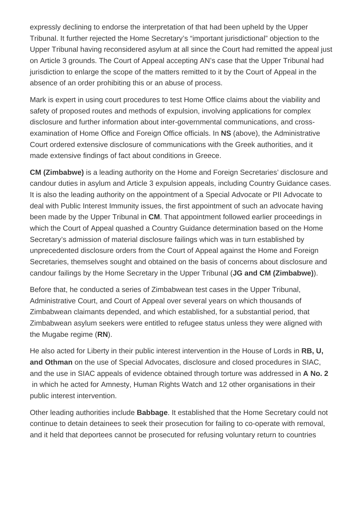expressly declining to endorse the interpretation of that had been upheld by the Upper Tribunal. It further rejected the Home Secretary's "important jurisdictional" objection to the Upper Tribunal having reconsidered asylum at all since the Court had remitted the appeal just on Article 3 grounds. The Court of Appeal accepting AN's case that the Upper Tribunal had jurisdiction to enlarge the scope of the matters remitted to it by the Court of Appeal in the absence of an order prohibiting this or an abuse of process.

Mark is expert in using court procedures to test Home Office claims about the viability and safety of proposed routes and methods of expulsion, involving applications for complex disclosure and further information about inter-governmental communications, and crossexamination of Home Office and Foreign Office officials. In **NS** (above), the Administrative Court ordered extensive disclosure of communications with the Greek authorities, and it made extensive findings of fact about conditions in Greece.

**CM (Zimbabwe)** is a leading authority on the Home and Foreign Secretaries' disclosure and candour duties in asylum and Article 3 expulsion appeals, including Country Guidance cases. It is also the leading authority on the appointment of a Special Advocate or PII Advocate to deal with Public Interest Immunity issues, the first appointment of such an advocate having been made by the Upper Tribunal in **CM**. That appointment followed earlier proceedings in which the Court of Appeal quashed a Country Guidance determination based on the Home Secretary's admission of material disclosure failings which was in turn established by unprecedented disclosure orders from the Court of Appeal against the Home and Foreign Secretaries, themselves sought and obtained on the basis of concerns about disclosure and candour failings by the Home Secretary in the Upper Tribunal (**JG and CM (Zimbabwe)**).

Before that, he conducted a series of Zimbabwean test cases in the Upper Tribunal, Administrative Court, and Court of Appeal over several years on which thousands of Zimbabwean claimants depended, and which established, for a substantial period, that Zimbabwean asylum seekers were entitled to refugee status unless they were aligned with the Mugabe regime (**RN**).

He also acted for Liberty in their public interest intervention in the House of Lords in **RB, U, and Othman** on the use of Special Advocates, disclosure and closed procedures in SIAC, and the use in SIAC appeals of evidence obtained through torture was addressed in **A No. 2** in which he acted for Amnesty, Human Rights Watch and 12 other organisations in their public interest intervention.

Other leading authorities include **Babbage**. It established that the Home Secretary could not continue to detain detainees to seek their prosecution for failing to co-operate with removal, and it held that deportees cannot be prosecuted for refusing voluntary return to countries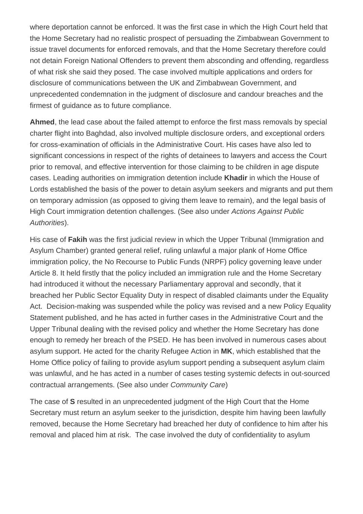where deportation cannot be enforced. It was the first case in which the High Court held that the Home Secretary had no realistic prospect of persuading the Zimbabwean Government to issue travel documents for enforced removals, and that the Home Secretary therefore could not detain Foreign National Offenders to prevent them absconding and offending, regardless of what risk she said they posed. The case involved multiple applications and orders for disclosure of communications between the UK and Zimbabwean Government, and unprecedented condemnation in the judgment of disclosure and candour breaches and the firmest of guidance as to future compliance.

**Ahmed**, the lead case about the failed attempt to enforce the first mass removals by special charter flight into Baghdad, also involved multiple disclosure orders, and exceptional orders for cross-examination of officials in the Administrative Court. His cases have also led to significant concessions in respect of the rights of detainees to lawyers and access the Court prior to removal, and effective intervention for those claiming to be children in age dispute cases. Leading authorities on immigration detention include **Khadir** in which the House of Lords established the basis of the power to detain asylum seekers and migrants and put them on temporary admission (as opposed to giving them leave to remain), and the legal basis of High Court immigration detention challenges. (See also under Actions Against Public Authorities).

His case of **Fakih** was the first judicial review in which the Upper Tribunal (Immigration and Asylum Chamber) granted general relief, ruling unlawful a major plank of Home Office immigration policy, the No Recourse to Public Funds (NRPF) policy governing leave under Article 8. It held firstly that the policy included an immigration rule and the Home Secretary had introduced it without the necessary Parliamentary approval and secondly, that it breached her Public Sector Equality Duty in respect of disabled claimants under the Equality Act. Decision-making was suspended while the policy was revised and a new Policy Equality Statement published, and he has acted in further cases in the Administrative Court and the Upper Tribunal dealing with the revised policy and whether the Home Secretary has done enough to remedy her breach of the PSED. He has been involved in numerous cases about asylum support. He acted for the charity Refugee Action in **MK**, which established that the Home Office policy of failing to provide asylum support pending a subsequent asylum claim was unlawful, and he has acted in a number of cases testing systemic defects in out-sourced contractual arrangements. (See also under Community Care)

The case of **S** resulted in an unprecedented judgment of the High Court that the Home Secretary must return an asylum seeker to the jurisdiction, despite him having been lawfully removed, because the Home Secretary had breached her duty of confidence to him after his removal and placed him at risk. The case involved the duty of confidentiality to asylum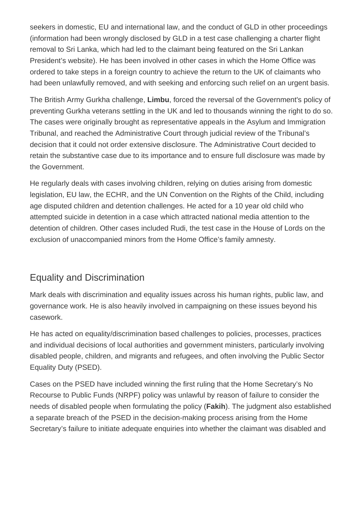seekers in domestic, EU and international law, and the conduct of GLD in other proceedings (information had been wrongly disclosed by GLD in a test case challenging a charter flight removal to Sri Lanka, which had led to the claimant being featured on the Sri Lankan President's website). He has been involved in other cases in which the Home Office was ordered to take steps in a foreign country to achieve the return to the UK of claimants who had been unlawfully removed, and with seeking and enforcing such relief on an urgent basis.

The British Army Gurkha challenge, **Limbu**, forced the reversal of the Government's policy of preventing Gurkha veterans settling in the UK and led to thousands winning the right to do so. The cases were originally brought as representative appeals in the Asylum and Immigration Tribunal, and reached the Administrative Court through judicial review of the Tribunal's decision that it could not order extensive disclosure. The Administrative Court decided to retain the substantive case due to its importance and to ensure full disclosure was made by the Government.

He regularly deals with cases involving children, relying on duties arising from domestic legislation, EU law, the ECHR, and the UN Convention on the Rights of the Child, including age disputed children and detention challenges. He acted for a 10 year old child who attempted suicide in detention in a case which attracted national media attention to the detention of children. Other cases included Rudi, the test case in the House of Lords on the exclusion of unaccompanied minors from the Home Office's family amnesty.

# Equality and Discrimination

Mark deals with discrimination and equality issues across his human rights, public law, and governance work. He is also heavily involved in campaigning on these issues beyond his casework.

He has acted on equality/discrimination based challenges to policies, processes, practices and individual decisions of local authorities and government ministers, particularly involving disabled people, children, and migrants and refugees, and often involving the Public Sector Equality Duty (PSED).

Cases on the PSED have included winning the first ruling that the Home Secretary's No Recourse to Public Funds (NRPF) policy was unlawful by reason of failure to consider the needs of disabled people when formulating the policy (**Fakih**). The judgment also established a separate breach of the PSED in the decision-making process arising from the Home Secretary's failure to initiate adequate enquiries into whether the claimant was disabled and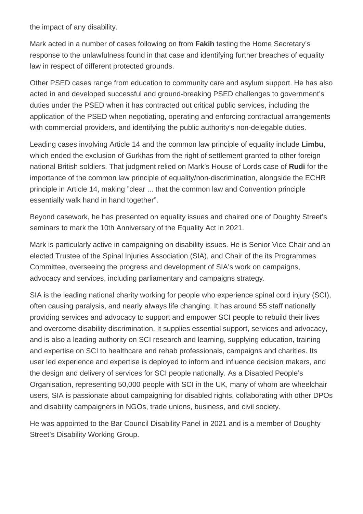the impact of any disability.

Mark acted in a number of cases following on from **Fakih** testing the Home Secretary's response to the unlawfulness found in that case and identifying further breaches of equality law in respect of different protected grounds.

Other PSED cases range from education to community care and asylum support. He has also acted in and developed successful and ground-breaking PSED challenges to government's duties under the PSED when it has contracted out critical public services, including the application of the PSED when negotiating, operating and enforcing contractual arrangements with commercial providers, and identifying the public authority's non-delegable duties.

Leading cases involving Article 14 and the common law principle of equality include **Limbu**, which ended the exclusion of Gurkhas from the right of settlement granted to other foreign national British soldiers. That judgment relied on Mark's House of Lords case of **Rudi** for the importance of the common law principle of equality/non-discrimination, alongside the ECHR principle in Article 14, making "clear ... that the common law and Convention principle essentially walk hand in hand together".

Beyond casework, he has presented on equality issues and chaired one of Doughty Street's seminars to mark the 10th Anniversary of the Equality Act in 2021.

Mark is particularly active in campaigning on disability issues. He is Senior Vice Chair and an elected Trustee of the Spinal Injuries Association (SIA), and Chair of the its Programmes Committee, overseeing the progress and development of SIA's work on campaigns, advocacy and services, including parliamentary and campaigns strategy.

SIA is the leading national charity working for people who experience spinal cord injury (SCI), often causing paralysis, and nearly always life changing. It has around 55 staff nationally providing services and advocacy to support and empower SCI people to rebuild their lives and overcome disability discrimination. It supplies essential support, services and advocacy, and is also a leading authority on SCI research and learning, supplying education, training and expertise on SCI to healthcare and rehab professionals, campaigns and charities. Its user led experience and expertise is deployed to inform and influence decision makers, and the design and delivery of services for SCI people nationally. As a Disabled People's Organisation, representing 50,000 people with SCI in the UK, many of whom are wheelchair users, SIA is passionate about campaigning for disabled rights, collaborating with other DPOs and disability campaigners in NGOs, trade unions, business, and civil society.

He was appointed to the Bar Council Disability Panel in 2021 and is a member of Doughty Street's Disability Working Group.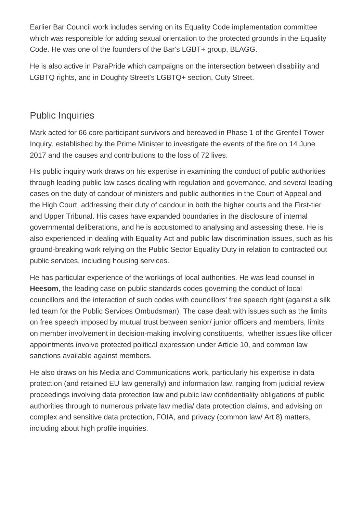Earlier Bar Council work includes serving on its Equality Code implementation committee which was responsible for adding sexual orientation to the protected grounds in the Equality Code. He was one of the founders of the Bar's LGBT+ group, BLAGG.

He is also active in ParaPride which campaigns on the intersection between disability and LGBTQ rights, and in Doughty Street's LGBTQ+ section, Outy Street.

## Public Inquiries

Mark acted for 66 core participant survivors and bereaved in Phase 1 of the Grenfell Tower Inquiry, established by the Prime Minister to investigate the events of the fire on 14 June 2017 and the causes and contributions to the loss of 72 lives.

His public inquiry work draws on his expertise in examining the conduct of public authorities through leading public law cases dealing with regulation and governance, and several leading cases on the duty of candour of ministers and public authorities in the Court of Appeal and the High Court, addressing their duty of candour in both the higher courts and the First-tier and Upper Tribunal. His cases have expanded boundaries in the disclosure of internal governmental deliberations, and he is accustomed to analysing and assessing these. He is also experienced in dealing with Equality Act and public law discrimination issues, such as his ground-breaking work relying on the Public Sector Equality Duty in relation to contracted out public services, including housing services.

He has particular experience of the workings of local authorities. He was lead counsel in **Heesom**, the leading case on public standards codes governing the conduct of local councillors and the interaction of such codes with councillors' free speech right (against a silk led team for the Public Services Ombudsman). The case dealt with issues such as the limits on free speech imposed by mutual trust between senior/ junior officers and members, limits on member involvement in decision-making involving constituents, whether issues like officer appointments involve protected political expression under Article 10, and common law sanctions available against members.

He also draws on his Media and Communications work, particularly his expertise in data protection (and retained EU law generally) and information law, ranging from judicial review proceedings involving data protection law and public law confidentiality obligations of public authorities through to numerous private law media/ data protection claims, and advising on complex and sensitive data protection, FOIA, and privacy (common law/ Art 8) matters, including about high profile inquiries.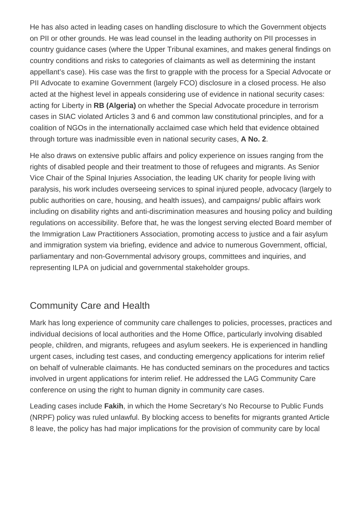He has also acted in leading cases on handling disclosure to which the Government objects on PII or other grounds. He was lead counsel in the leading authority on PII processes in country guidance cases (where the Upper Tribunal examines, and makes general findings on country conditions and risks to categories of claimants as well as determining the instant appellant's case). His case was the first to grapple with the process for a Special Advocate or PII Advocate to examine Government (largely FCO) disclosure in a closed process. He also acted at the highest level in appeals considering use of evidence in national security cases: acting for Liberty in **RB (Algeria)** on whether the Special Advocate procedure in terrorism cases in SIAC violated Articles 3 and 6 and common law constitutional principles, and for a coalition of NGOs in the internationally acclaimed case which held that evidence obtained through torture was inadmissible even in national security cases, **A No. 2**.

He also draws on extensive public affairs and policy experience on issues ranging from the rights of disabled people and their treatment to those of refugees and migrants. As Senior Vice Chair of the Spinal Injuries Association, the leading UK charity for people living with paralysis, his work includes overseeing services to spinal injured people, advocacy (largely to public authorities on care, housing, and health issues), and campaigns/ public affairs work including on disability rights and anti-discrimination measures and housing policy and building regulations on accessibility. Before that, he was the longest serving elected Board member of the Immigration Law Practitioners Association, promoting access to justice and a fair asylum and immigration system via briefing, evidence and advice to numerous Government, official, parliamentary and non-Governmental advisory groups, committees and inquiries, and representing ILPA on judicial and governmental stakeholder groups.

# Community Care and Health

Mark has long experience of community care challenges to policies, processes, practices and individual decisions of local authorities and the Home Office, particularly involving disabled people, children, and migrants, refugees and asylum seekers. He is experienced in handling urgent cases, including test cases, and conducting emergency applications for interim relief on behalf of vulnerable claimants. He has conducted seminars on the procedures and tactics involved in urgent applications for interim relief. He addressed the LAG Community Care conference on using the right to human dignity in community care cases.

Leading cases include **Fakih**, in which the Home Secretary's No Recourse to Public Funds (NRPF) policy was ruled unlawful. By blocking access to benefits for migrants granted Article 8 leave, the policy has had major implications for the provision of community care by local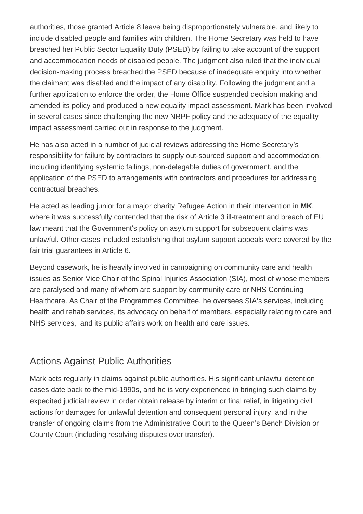authorities, those granted Article 8 leave being disproportionately vulnerable, and likely to include disabled people and families with children. The Home Secretary was held to have breached her Public Sector Equality Duty (PSED) by failing to take account of the support and accommodation needs of disabled people. The judgment also ruled that the individual decision-making process breached the PSED because of inadequate enquiry into whether the claimant was disabled and the impact of any disability. Following the judgment and a further application to enforce the order, the Home Office suspended decision making and amended its policy and produced a new equality impact assessment. Mark has been involved in several cases since challenging the new NRPF policy and the adequacy of the equality impact assessment carried out in response to the judgment.

He has also acted in a number of judicial reviews addressing the Home Secretary's responsibility for failure by contractors to supply out-sourced support and accommodation, including identifying systemic failings, non-delegable duties of government, and the application of the PSED to arrangements with contractors and procedures for addressing contractual breaches.

He acted as leading junior for a major charity Refugee Action in their intervention in **MK**, where it was successfully contended that the risk of Article 3 ill-treatment and breach of EU law meant that the Government's policy on asylum support for subsequent claims was unlawful. Other cases included establishing that asylum support appeals were covered by the fair trial guarantees in Article 6.

Beyond casework, he is heavily involved in campaigning on community care and health issues as Senior Vice Chair of the Spinal Injuries Association (SIA), most of whose members are paralysed and many of whom are support by community care or NHS Continuing Healthcare. As Chair of the Programmes Committee, he oversees SIA's services, including health and rehab services, its advocacy on behalf of members, especially relating to care and NHS services, and its public affairs work on health and care issues.

## Actions Against Public Authorities

Mark acts regularly in claims against public authorities. His significant unlawful detention cases date back to the mid-1990s, and he is very experienced in bringing such claims by expedited judicial review in order obtain release by interim or final relief, in litigating civil actions for damages for unlawful detention and consequent personal injury, and in the transfer of ongoing claims from the Administrative Court to the Queen's Bench Division or County Court (including resolving disputes over transfer).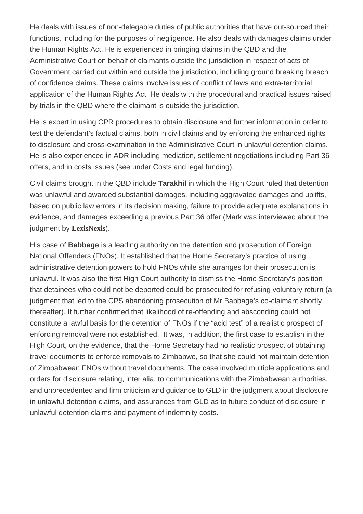He deals with issues of non-delegable duties of public authorities that have out-sourced their functions, including for the purposes of negligence. He also deals with damages claims under the Human Rights Act. He is experienced in bringing claims in the QBD and the Administrative Court on behalf of claimants outside the jurisdiction in respect of acts of Government carried out within and outside the jurisdiction, including ground breaking breach of confidence claims. These claims involve issues of conflict of laws and extra-territorial application of the Human Rights Act. He deals with the procedural and practical issues raised by trials in the QBD where the claimant is outside the jurisdiction.

He is expert in using CPR procedures to obtain disclosure and further information in order to test the defendant's factual claims, both in civil claims and by enforcing the enhanced rights to disclosure and cross-examination in the Administrative Court in unlawful detention claims. He is also experienced in ADR including mediation, settlement negotiations including Part 36 offers, and in costs issues (see under Costs and legal funding).

Civil claims brought in the QBD include Tarakhil in which the High Court ruled that detention was unlawful and awarded substantial damages, including aggravated damages and uplifts, based on public law errors in its decision making, failure to provide adequate explanations in evidence, and damages exceeding a previous Part 36 offer (Mark was interviewed about the judgment by [LexisNexis](https://dscdetention.files.wordpress.com/2016/02/flawed-decision-making-and-false-imprisonment-damages_henderson_doughty.pdf).

His case of Babbage is a leading authority on the detention and prosecution of Foreign National Offenders (FNOs). It established that the Home Secretary's practice of using administrative detention powers to hold FNOs while she arranges for their prosecution is unlawful. It was also the first High Court authority to dismiss the Home Secretary's position that detainees who could not be deported could be prosecuted for refusing voluntary return (a judgment that led to the CPS abandoning prosecution of Mr Babbage's co-claimant shortly thereafter). It further confirmed that likelihood of re-offending and absconding could not constitute a lawful basis for the detention of FNOs if the "acid test" of a realistic prospect of enforcing removal were not established. It was, in addition, the first case to establish in the High Court, on the evidence, that the Home Secretary had no realistic prospect of obtaining travel documents to enforce removals to Zimbabwe, so that she could not maintain detention of Zimbabwean FNOs without travel documents. The case involved multiple applications and orders for disclosure relating, inter alia, to communications with the Zimbabwean authorities, and unprecedented and firm criticism and guidance to GLD in the judgment about disclosure in unlawful detention claims, and assurances from GLD as to future conduct of disclosure in unlawful detention claims and payment of indemnity costs.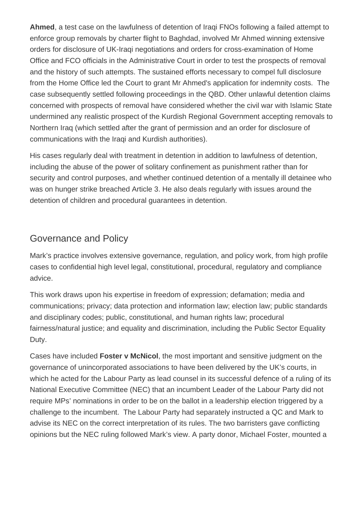**Ahmed**, a test case on the lawfulness of detention of Iraqi FNOs following a failed attempt to enforce group removals by charter flight to Baghdad, involved Mr Ahmed winning extensive orders for disclosure of UK-Iraqi negotiations and orders for cross-examination of Home Office and FCO officials in the Administrative Court in order to test the prospects of removal and the history of such attempts. The sustained efforts necessary to compel full disclosure from the Home Office led the Court to grant Mr Ahmed's application for indemnity costs. The case subsequently settled following proceedings in the QBD. Other unlawful detention claims concerned with prospects of removal have considered whether the civil war with Islamic State undermined any realistic prospect of the Kurdish Regional Government accepting removals to Northern Iraq (which settled after the grant of permission and an order for disclosure of communications with the Iraqi and Kurdish authorities).

His cases regularly deal with treatment in detention in addition to lawfulness of detention, including the abuse of the power of solitary confinement as punishment rather than for security and control purposes, and whether continued detention of a mentally ill detainee who was on hunger strike breached Article 3. He also deals regularly with issues around the detention of children and procedural guarantees in detention.

# Governance and Policy

Mark's practice involves extensive governance, regulation, and policy work, from high profile cases to confidential high level legal, constitutional, procedural, regulatory and compliance advice.

This work draws upon his expertise in freedom of expression; defamation; media and communications; privacy; data protection and information law; election law; public standards and disciplinary codes; public, constitutional, and human rights law; procedural fairness/natural justice; and equality and discrimination, including the Public Sector Equality Duty.

Cases have included **Foster v McNicol**, the most important and sensitive judgment on the governance of unincorporated associations to have been delivered by the UK's courts, in which he acted for the Labour Party as lead counsel in its successful defence of a ruling of its National Executive Committee (NEC) that an incumbent Leader of the Labour Party did not require MPs' nominations in order to be on the ballot in a leadership election triggered by a challenge to the incumbent. The Labour Party had separately instructed a QC and Mark to advise its NEC on the correct interpretation of its rules. The two barristers gave conflicting opinions but the NEC ruling followed Mark's view. A party donor, Michael Foster, mounted a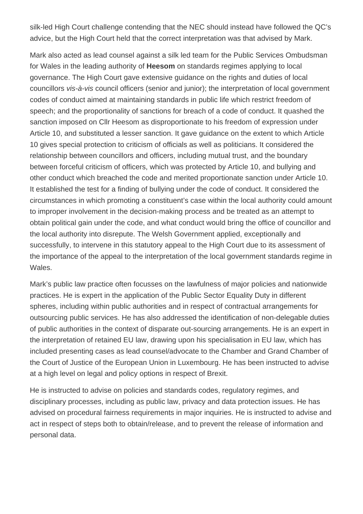silk-led High Court challenge contending that the NEC should instead have followed the QC's advice, but the High Court held that the correct interpretation was that advised by Mark.

Mark also acted as lead counsel against a silk led team for the Public Services Ombudsman for Wales in the leading authority of **Heesom** on standards regimes applying to local governance. The High Court gave extensive guidance on the rights and duties of local councillors vis-à-vis council officers (senior and junior); the interpretation of local government codes of conduct aimed at maintaining standards in public life which restrict freedom of speech; and the proportionality of sanctions for breach of a code of conduct. It quashed the sanction imposed on Cllr Heesom as disproportionate to his freedom of expression under Article 10, and substituted a lesser sanction. It gave guidance on the extent to which Article 10 gives special protection to criticism of officials as well as politicians. It considered the relationship between councillors and officers, including mutual trust, and the boundary between forceful criticism of officers, which was protected by Article 10, and bullying and other conduct which breached the code and merited proportionate sanction under Article 10. It established the test for a finding of bullying under the code of conduct. It considered the circumstances in which promoting a constituent's case within the local authority could amount to improper involvement in the decision-making process and be treated as an attempt to obtain political gain under the code, and what conduct would bring the office of councillor and the local authority into disrepute. The Welsh Government applied, exceptionally and successfully, to intervene in this statutory appeal to the High Court due to its assessment of the importance of the appeal to the interpretation of the local government standards regime in Wales.

Mark's public law practice often focusses on the lawfulness of major policies and nationwide practices. He is expert in the application of the Public Sector Equality Duty in different spheres, including within public authorities and in respect of contractual arrangements for outsourcing public services. He has also addressed the identification of non-delegable duties of public authorities in the context of disparate out-sourcing arrangements. He is an expert in the interpretation of retained EU law, drawing upon his specialisation in EU law, which has included presenting cases as lead counsel/advocate to the Chamber and Grand Chamber of the Court of Justice of the European Union in Luxembourg. He has been instructed to advise at a high level on legal and policy options in respect of Brexit.

He is instructed to advise on policies and standards codes, regulatory regimes, and disciplinary processes, including as public law, privacy and data protection issues. He has advised on procedural fairness requirements in major inquiries. He is instructed to advise and act in respect of steps both to obtain/release, and to prevent the release of information and personal data.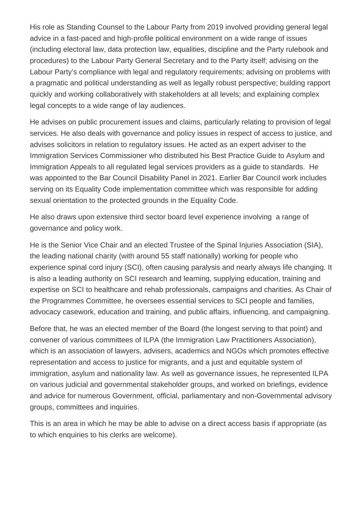His role as Standing Counsel to the Labour Party from 2019 involved providing general legal advice in a fast-paced and high-profile political environment on a wide range of issues (including electoral law, data protection law, equalities, discipline and the Party rulebook and procedures) to the Labour Party General Secretary and to the Party itself; advising on the Labour Party's compliance with legal and regulatory requirements; advising on problems with a pragmatic and political understanding as well as legally robust perspective; building rapport quickly and working collaboratively with stakeholders at all levels; and explaining complex legal concepts to a wide range of lay audiences.

He advises on public procurement issues and claims, particularly relating to provision of legal services. He also deals with governance and policy issues in respect of access to justice, and advises solicitors in relation to regulatory issues. He acted as an expert adviser to the Immigration Services Commissioner who distributed his Best Practice Guide to Asylum and Immigration Appeals to all regulated legal services providers as a guide to standards. He was appointed to the Bar Council Disability Panel in 2021. Earlier Bar Council work includes serving on its Equality Code implementation committee which was responsible for adding sexual orientation to the protected grounds in the Equality Code.

He also draws upon extensive third sector board level experience involving a range of governance and policy work.

He is the Senior Vice Chair and an elected Trustee of the Spinal Injuries Association (SIA), the leading national charity (with around 55 staff nationally) working for people who experience spinal cord injury (SCI), often causing paralysis and nearly always life changing. It is also a leading authority on SCI research and learning, supplying education, training and expertise on SCI to healthcare and rehab professionals, campaigns and charities. As Chair of the Programmes Committee, he oversees essential services to SCI people and families, advocacy casework, education and training, and public affairs, influencing, and campaigning.

Before that, he was an elected member of the Board (the longest serving to that point) and convener of various committees of ILPA (the Immigration Law Practitioners Association), which is an association of lawyers, advisers, academics and NGOs which promotes effective representation and access to justice for migrants, and a just and equitable system of immigration, asylum and nationality law. As well as governance issues, he represented ILPA on various judicial and governmental stakeholder groups, and worked on briefings, evidence and advice for numerous Government, official, parliamentary and non-Governmental advisory groups, committees and inquiries.

This is an area in which he may be able to advise on a direct access basis if appropriate (as to which enquiries to his clerks are welcome).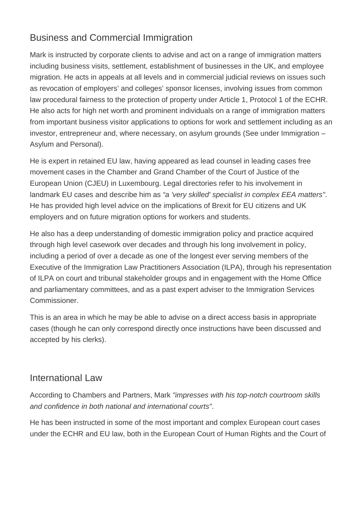# Business and Commercial Immigration

Mark is instructed by corporate clients to advise and act on a range of immigration matters including business visits, settlement, establishment of businesses in the UK, and employee migration. He acts in appeals at all levels and in commercial judicial reviews on issues such as revocation of employers' and colleges' sponsor licenses, involving issues from common law procedural fairness to the protection of property under Article 1, Protocol 1 of the ECHR. He also acts for high net worth and prominent individuals on a range of immigration matters from important business visitor applications to options for work and settlement including as an investor, entrepreneur and, where necessary, on asylum grounds (See under Immigration – Asylum and Personal).

He is expert in retained EU law, having appeared as lead counsel in leading cases free movement cases in the Chamber and Grand Chamber of the Court of Justice of the European Union (CJEU) in Luxembourg. Legal directories refer to his involvement in landmark EU cases and describe him as "a 'very skilled' specialist in complex EEA matters". He has provided high level advice on the implications of Brexit for EU citizens and UK employers and on future migration options for workers and students.

He also has a deep understanding of domestic immigration policy and practice acquired through high level casework over decades and through his long involvement in policy, including a period of over a decade as one of the longest ever serving members of the Executive of the Immigration Law Practitioners Association (ILPA), through his representation of ILPA on court and tribunal stakeholder groups and in engagement with the Home Office and parliamentary committees, and as a past expert adviser to the Immigration Services Commissioner.

This is an area in which he may be able to advise on a direct access basis in appropriate cases (though he can only correspond directly once instructions have been discussed and accepted by his clerks).

# International Law

According to Chambers and Partners, Mark "impresses with his top-notch courtroom skills and confidence in both national and international courts".

He has been instructed in some of the most important and complex European court cases under the ECHR and EU law, both in the European Court of Human Rights and the Court of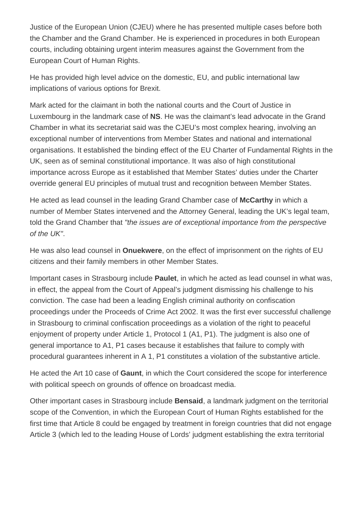Justice of the European Union (CJEU) where he has presented multiple cases before both the Chamber and the Grand Chamber. He is experienced in procedures in both European courts, including obtaining urgent interim measures against the Government from the European Court of Human Rights.

He has provided high level advice on the domestic, EU, and public international law implications of various options for Brexit.

Mark acted for the claimant in both the national courts and the Court of Justice in Luxembourg in the landmark case of **NS**. He was the claimant's lead advocate in the Grand Chamber in what its secretariat said was the CJEU's most complex hearing, involving an exceptional number of interventions from Member States and national and international organisations. It established the binding effect of the EU Charter of Fundamental Rights in the UK, seen as of seminal constitutional importance. It was also of high constitutional importance across Europe as it established that Member States' duties under the Charter override general EU principles of mutual trust and recognition between Member States.

He acted as lead counsel in the leading Grand Chamber case of **McCarthy** in which a number of Member States intervened and the Attorney General, leading the UK's legal team, told the Grand Chamber that "the issues are of exceptional importance from the perspective of the UK".

He was also lead counsel in **Onuekwere**, on the effect of imprisonment on the rights of EU citizens and their family members in other Member States.

Important cases in Strasbourg include **Paulet**, in which he acted as lead counsel in what was, in effect, the appeal from the Court of Appeal's judgment dismissing his challenge to his conviction. The case had been a leading English criminal authority on confiscation proceedings under the Proceeds of Crime Act 2002. It was the first ever successful challenge in Strasbourg to criminal confiscation proceedings as a violation of the right to peaceful enjoyment of property under Article 1, Protocol 1 (A1, P1). The judgment is also one of general importance to A1, P1 cases because it establishes that failure to comply with procedural guarantees inherent in A 1, P1 constitutes a violation of the substantive article.

He acted the Art 10 case of **Gaunt**, in which the Court considered the scope for interference with political speech on grounds of offence on broadcast media.

Other important cases in Strasbourg include **Bensaid**, a landmark judgment on the territorial scope of the Convention, in which the European Court of Human Rights established for the first time that Article 8 could be engaged by treatment in foreign countries that did not engage Article 3 (which led to the leading House of Lords' judgment establishing the extra territorial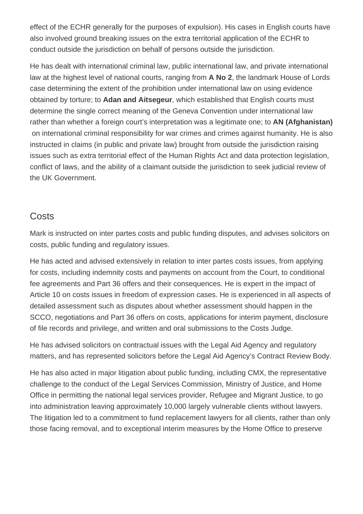effect of the ECHR generally for the purposes of expulsion). His cases in English courts have also involved ground breaking issues on the extra territorial application of the ECHR to conduct outside the jurisdiction on behalf of persons outside the jurisdiction.

He has dealt with international criminal law, public international law, and private international law at the highest level of national courts, ranging from **A No 2**, the landmark House of Lords case determining the extent of the prohibition under international law on using evidence obtained by torture; to **Adan and Aitsegeur**, which established that English courts must determine the single correct meaning of the Geneva Convention under international law rather than whether a foreign court's interpretation was a legitimate one; to **AN (Afghanistan)** on international criminal responsibility for war crimes and crimes against humanity. He is also instructed in claims (in public and private law) brought from outside the jurisdiction raising issues such as extra territorial effect of the Human Rights Act and data protection legislation, conflict of laws, and the ability of a claimant outside the jurisdiction to seek judicial review of the UK Government.

### **Costs**

Mark is instructed on inter partes costs and public funding disputes, and advises solicitors on costs, public funding and regulatory issues.

He has acted and advised extensively in relation to inter partes costs issues, from applying for costs, including indemnity costs and payments on account from the Court, to conditional fee agreements and Part 36 offers and their consequences. He is expert in the impact of Article 10 on costs issues in freedom of expression cases. He is experienced in all aspects of detailed assessment such as disputes about whether assessment should happen in the SCCO, negotiations and Part 36 offers on costs, applications for interim payment, disclosure of file records and privilege, and written and oral submissions to the Costs Judge.

He has advised solicitors on contractual issues with the Legal Aid Agency and regulatory matters, and has represented solicitors before the Legal Aid Agency's Contract Review Body.

He has also acted in major litigation about public funding, including CMX, the representative challenge to the conduct of the Legal Services Commission, Ministry of Justice, and Home Office in permitting the national legal services provider, Refugee and Migrant Justice, to go into administration leaving approximately 10,000 largely vulnerable clients without lawyers. The litigation led to a commitment to fund replacement lawyers for all clients, rather than only those facing removal, and to exceptional interim measures by the Home Office to preserve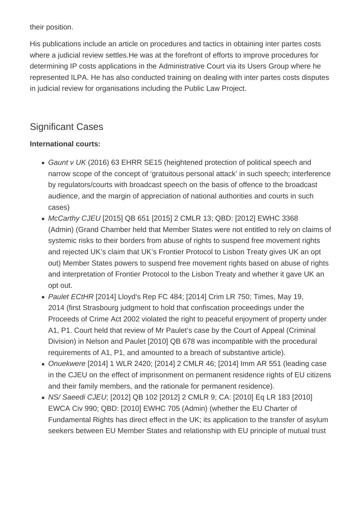their position.

His publications include an article on procedures and tactics in obtaining inter partes costs where a judicial review settles.He was at the forefront of efforts to improve procedures for determining IP costs applications in the Administrative Court via its Users Group where he represented ILPA. He has also conducted training on dealing with inter partes costs disputes in judicial review for organisations including the Public Law Project.

# Significant Cases

### **International courts:**

- Gaunt v UK (2016) 63 EHRR SE15 (heightened protection of political speech and narrow scope of the concept of 'gratuitous personal attack' in such speech; interference by regulators/courts with broadcast speech on the basis of offence to the broadcast audience, and the margin of appreciation of national authorities and courts in such cases)
- McCarthy CJEU [2015] QB 651 [2015] 2 CMLR 13; QBD: [2012] EWHC 3368 (Admin) (Grand Chamber held that Member States were not entitled to rely on claims of systemic risks to their borders from abuse of rights to suspend free movement rights and rejected UK's claim that UK's Frontier Protocol to Lisbon Treaty gives UK an opt out) Member States powers to suspend free movement rights based on abuse of rights and interpretation of Frontier Protocol to the Lisbon Treaty and whether it gave UK an opt out.
- Paulet ECtHR [2014] Lloyd's Rep FC 484; [2014] Crim LR 750; Times, May 19, 2014 (first Strasbourg judgment to hold that confiscation proceedings under the Proceeds of Crime Act 2002 violated the right to peaceful enjoyment of property under A1, P1. Court held that review of Mr Paulet's case by the Court of Appeal (Criminal Division) in Nelson and Paulet [2010] QB 678 was incompatible with the procedural requirements of A1, P1, and amounted to a breach of substantive article).
- Onuekwere [2014] 1 WLR 2420; [2014] 2 CMLR 46; [2014] Imm AR 551 (leading case in the CJEU on the effect of imprisonment on permanent residence rights of EU citizens and their family members, and the rationale for permanent residence).
- NS/ Saeedi CJEU; [2012] QB 102 [2012] 2 CMLR 9; CA: [2010] Eq LR 183 [2010] EWCA Civ 990; QBD: [2010] EWHC 705 (Admin) (whether the EU Charter of Fundamental Rights has direct effect in the UK; its application to the transfer of asylum seekers between EU Member States and relationship with EU principle of mutual trust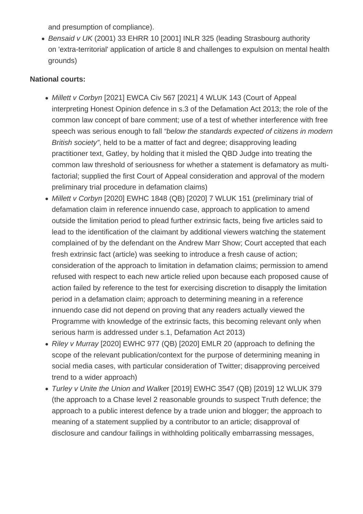and presumption of compliance).

• Bensaid v UK (2001) 33 EHRR 10 [2001] INLR 325 (leading Strasbourg authority on 'extra-territorial' application of article 8 and challenges to expulsion on mental health grounds)

#### **National courts:**

- Millett v Corbyn [2021] EWCA Civ 567 [2021] 4 WLUK 143 (Court of Appeal interpreting Honest Opinion defence in s.3 of the Defamation Act 2013; the role of the common law concept of bare comment; use of a test of whether interference with free speech was serious enough to fall "below the standards expected of citizens in modern British society", held to be a matter of fact and degree; disapproving leading practitioner text, Gatley, by holding that it misled the QBD Judge into treating the common law threshold of seriousness for whether a statement is defamatory as multifactorial; supplied the first Court of Appeal consideration and approval of the modern preliminary trial procedure in defamation claims)
- Millett v Corbyn [2020] EWHC 1848 (QB) [2020] 7 WLUK 151 (preliminary trial of defamation claim in reference innuendo case, approach to application to amend outside the limitation period to plead further extrinsic facts, being five articles said to lead to the identification of the claimant by additional viewers watching the statement complained of by the defendant on the Andrew Marr Show; Court accepted that each fresh extrinsic fact (article) was seeking to introduce a fresh cause of action; consideration of the approach to limitation in defamation claims; permission to amend refused with respect to each new article relied upon because each proposed cause of action failed by reference to the test for exercising discretion to disapply the limitation period in a defamation claim; approach to determining meaning in a reference innuendo case did not depend on proving that any readers actually viewed the Programme with knowledge of the extrinsic facts, this becoming relevant only when serious harm is addressed under s.1, Defamation Act 2013)
- Riley v Murray [2020] EWHC 977 (QB) [2020] EMLR 20 (approach to defining the scope of the relevant publication/context for the purpose of determining meaning in social media cases, with particular consideration of Twitter; disapproving perceived trend to a wider approach)
- Turley v Unite the Union and Walker [2019] EWHC 3547 (QB) [2019] 12 WLUK 379 (the approach to a Chase level 2 reasonable grounds to suspect Truth defence; the approach to a public interest defence by a trade union and blogger; the approach to meaning of a statement supplied by a contributor to an article; disapproval of disclosure and candour failings in withholding politically embarrassing messages,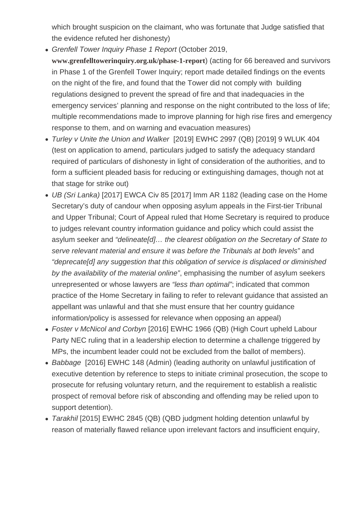which brought suspicion on the claimant, who was fortunate that Judge satisfied that the evidence refuted her dishonesty)

- Grenfell Tower Inquiry Phase 1 Report (October 2019, [www.grenfelltowerinquiry.org.uk/phase-1-report\)](http://www.grenfelltowerinquiry.org.uk/phase-1-report) (acting for 66 bereaved and survivors in Phase 1 of the Grenfell Tower Inquiry; report made detailed findings on the events on the night of the fire, and found that the Tower did not comply with building regulations designed to prevent the spread of fire and that inadequacies in the emergency services' planning and response on the night contributed to the loss of life; multiple recommendations made to improve planning for high rise fires and emergency response to them, and on warning and evacuation measures)
- Turley v Unite the Union and Walker [2019] EWHC 2997 (QB) [2019] 9 WLUK 404 (test on application to amend, particulars judged to satisfy the adequacy standard required of particulars of dishonesty in light of consideration of the authorities, and to form a sufficient pleaded basis for reducing or extinguishing damages, though not at that stage for strike out)
- UB (Sri Lanka) [2017] EWCA Civ 85 [2017] Imm AR 1182 (leading case on the Home Secretary's duty of candour when opposing asylum appeals in the First-tier Tribunal and Upper Tribunal; Court of Appeal ruled that Home Secretary is required to produce to judges relevant country information guidance and policy which could assist the asylum seeker and "delineate[d]… the clearest obligation on the Secretary of State to serve relevant material and ensure it was before the Tribunals at both levels" and "deprecate[d] any suggestion that this obligation of service is displaced or diminished by the availability of the material online", emphasising the number of asylum seekers unrepresented or whose lawyers are "less than optimal"; indicated that common practice of the Home Secretary in failing to refer to relevant guidance that assisted an appellant was unlawful and that she must ensure that her country guidance information/policy is assessed for relevance when opposing an appeal)
- Foster v McNicol and Corbyn [2016] EWHC 1966 (QB) (High Court upheld Labour Party NEC ruling that in a leadership election to determine a challenge triggered by MPs, the incumbent leader could not be excluded from the ballot of members).
- Babbage [2016] EWHC 148 (Admin) (leading authority on unlawful justification of executive detention by reference to steps to initiate criminal prosecution, the scope to prosecute for refusing voluntary return, and the requirement to establish a realistic prospect of removal before risk of absconding and offending may be relied upon to support detention).
- Tarakhil [2015] EWHC 2845 (QB) (QBD judgment holding detention unlawful by reason of materially flawed reliance upon irrelevant factors and insufficient enquiry,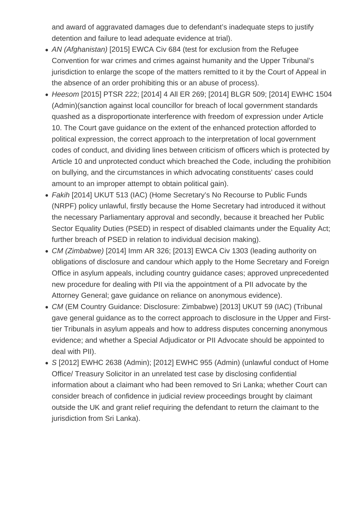and award of aggravated damages due to defendant's inadequate steps to justify detention and failure to lead adequate evidence at trial).

- AN (Afghanistan) [2015] EWCA Civ 684 (test for exclusion from the Refugee Convention for war crimes and crimes against humanity and the Upper Tribunal's jurisdiction to enlarge the scope of the matters remitted to it by the Court of Appeal in the absence of an order prohibiting this or an abuse of process).
- Heesom [2015] PTSR 222; [2014] 4 All ER 269; [2014] BLGR 509; [2014] EWHC 1504 (Admin)(sanction against local councillor for breach of local government standards quashed as a disproportionate interference with freedom of expression under Article 10. The Court gave guidance on the extent of the enhanced protection afforded to political expression, the correct approach to the interpretation of local government codes of conduct, and dividing lines between criticism of officers which is protected by Article 10 and unprotected conduct which breached the Code, including the prohibition on bullying, and the circumstances in which advocating constituents' cases could amount to an improper attempt to obtain political gain).
- Fakih [2014] UKUT 513 (IAC) (Home Secretary's No Recourse to Public Funds (NRPF) policy unlawful, firstly because the Home Secretary had introduced it without the necessary Parliamentary approval and secondly, because it breached her Public Sector Equality Duties (PSED) in respect of disabled claimants under the Equality Act; further breach of PSED in relation to individual decision making).
- CM (Zimbabwe) [2014] Imm AR 326; [2013] EWCA Civ 1303 (leading authority on obligations of disclosure and candour which apply to the Home Secretary and Foreign Office in asylum appeals, including country guidance cases; approved unprecedented new procedure for dealing with PII via the appointment of a PII advocate by the Attorney General; gave guidance on reliance on anonymous evidence).
- CM (EM Country Guidance: Disclosure: Zimbabwe) [2013] UKUT 59 (IAC) (Tribunal gave general guidance as to the correct approach to disclosure in the Upper and Firsttier Tribunals in asylum appeals and how to address disputes concerning anonymous evidence; and whether a Special Adjudicator or PII Advocate should be appointed to deal with PII).
- S [2012] EWHC 2638 (Admin); [2012] EWHC 955 (Admin) (unlawful conduct of Home Office/ Treasury Solicitor in an unrelated test case by disclosing confidential information about a claimant who had been removed to Sri Lanka; whether Court can consider breach of confidence in judicial review proceedings brought by claimant outside the UK and grant relief requiring the defendant to return the claimant to the jurisdiction from Sri Lanka).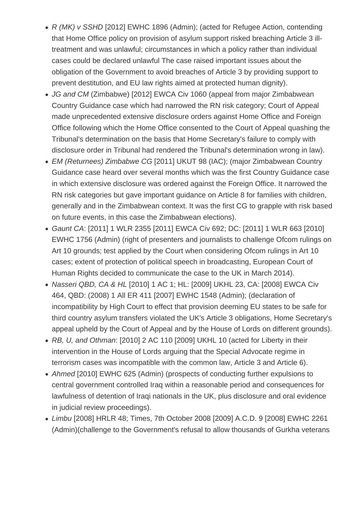- R (MK) v SSHD [2012] EWHC 1896 (Admin); (acted for Refugee Action, contending that Home Office policy on provision of asylum support risked breaching Article 3 illtreatment and was unlawful; circumstances in which a policy rather than individual cases could be declared unlawful The case raised important issues about the obligation of the Government to avoid breaches of Article 3 by providing support to prevent destitution, and EU law rights aimed at protected human dignity).
- JG and CM (Zimbabwe) [2012] EWCA Civ 1060 (appeal from major Zimbabwean Country Guidance case which had narrowed the RN risk category; Court of Appeal made unprecedented extensive disclosure orders against Home Office and Foreign Office following which the Home Office consented to the Court of Appeal quashing the Tribunal's determination on the basis that Home Secretary's failure to comply with disclosure order in Tribunal had rendered the Tribunal's determination wrong in law).
- EM (Returnees) Zimbabwe CG [2011] UKUT 98 (IAC); (major Zimbabwean Country Guidance case heard over several months which was the first Country Guidance case in which extensive disclosure was ordered against the Foreign Office. It narrowed the RN risk categories but gave important guidance on Article 8 for families with children, generally and in the Zimbabwean context. It was the first CG to grapple with risk based on future events, in this case the Zimbabwean elections).
- Gaunt CA: [2011] 1 WLR 2355 [2011] EWCA Civ 692; DC: [2011] 1 WLR 663 [2010] EWHC 1756 (Admin) (right of presenters and journalists to challenge Ofcom rulings on Art 10 grounds; test applied by the Court when considering Ofcom rulings in Art 10 cases; extent of protection of political speech in broadcasting, European Court of Human Rights decided to communicate the case to the UK in March 2014).
- Nasseri QBD, CA & HL [2010] 1 AC 1; HL: [2009] UKHL 23, CA: [2008] EWCA Civ 464, QBD: (2008) 1 All ER 411 [2007] EWHC 1548 (Admin); (declaration of incompatibility by High Court to effect that provision deeming EU states to be safe for third country asylum transfers violated the UK's Article 3 obligations, Home Secretary's appeal upheld by the Court of Appeal and by the House of Lords on different grounds).
- RB, U, and Othman: [2010] 2 AC 110 [2009] UKHL 10 (acted for Liberty in their intervention in the House of Lords arguing that the Special Advocate regime in terrorism cases was incompatible with the common law, Article 3 and Article 6).
- Ahmed [2010] EWHC 625 (Admin) (prospects of conducting further expulsions to central government controlled Iraq within a reasonable period and consequences for lawfulness of detention of Iraqi nationals in the UK, plus disclosure and oral evidence in judicial review proceedings).
- Limbu [2008] HRLR 48; Times, 7th October 2008 [2009] A.C.D. 9 [2008] EWHC 2261 (Admin)(challenge to the Government's refusal to allow thousands of Gurkha veterans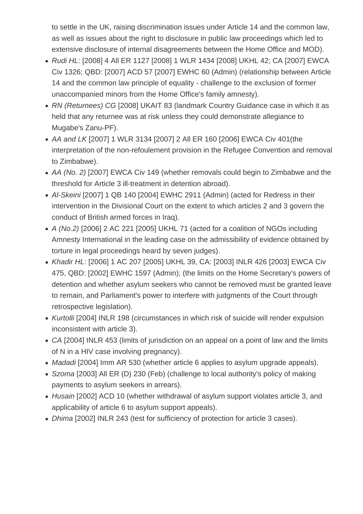to settle in the UK, raising discrimination issues under Article 14 and the common law, as well as issues about the right to disclosure in public law proceedings which led to extensive disclosure of internal disagreements between the Home Office and MOD).

- Rudi HL: [2008] 4 All ER 1127 [2008] 1 WLR 1434 [2008] UKHL 42; CA [2007] EWCA Civ 1326; QBD: [2007] ACD 57 [2007] EWHC 60 (Admin) (relationship between Article 14 and the common law principle of equality - challenge to the exclusion of former unaccompanied minors from the Home Office's family amnesty).
- RN (Returnees) CG [2008] UKAIT 83 (landmark Country Guidance case in which it as held that any returnee was at risk unless they could demonstrate allegiance to Mugabe's Zanu-PF).
- AA and LK [2007] 1 WLR 3134 [2007] 2 All ER 160 [2006] EWCA Civ 401(the interpretation of the non-refoulement provision in the Refugee Convention and removal to Zimbabwe).
- AA (No. 2) [2007] EWCA Civ 149 (whether removals could begin to Zimbabwe and the threshold for Article 3 ill-treatment in detention abroad).
- Al-Skeini [2007] 1 QB 140 [2004] EWHC 2911 (Admin) (acted for Redress in their intervention in the Divisional Court on the extent to which articles 2 and 3 govern the conduct of British armed forces in Iraq).
- A (No.2) [2006] 2 AC 221 [2005] UKHL 71 (acted for a coalition of NGOs including Amnesty International in the leading case on the admissibility of evidence obtained by torture in legal proceedings heard by seven judges).
- Khadir HL: [2006] 1 AC 207 [2005] UKHL 39, CA: [2003] INLR 426 [2003] EWCA Civ 475, QBD: [2002] EWHC 1597 (Admin); (the limits on the Home Secretary's powers of detention and whether asylum seekers who cannot be removed must be granted leave to remain, and Parliament's power to interfere with judgments of the Court through retrospective legislation).
- Kurtolli [2004] INLR 198 (circumstances in which risk of suicide will render expulsion inconsistent with article 3).
- CA [2004] INLR 453 (limits of jurisdiction on an appeal on a point of law and the limits of N in a HIV case involving pregnancy).
- Madadi [2004] Imm AR 530 (whether article 6 applies to asylum upgrade appeals).
- Szoma [2003] All ER (D) 230 (Feb) (challenge to local authority's policy of making payments to asylum seekers in arrears).
- Husain [2002] ACD 10 (whether withdrawal of asylum support violates article 3, and applicability of article 6 to asylum support appeals).
- Dhima [2002] INLR 243 (test for sufficiency of protection for article 3 cases).